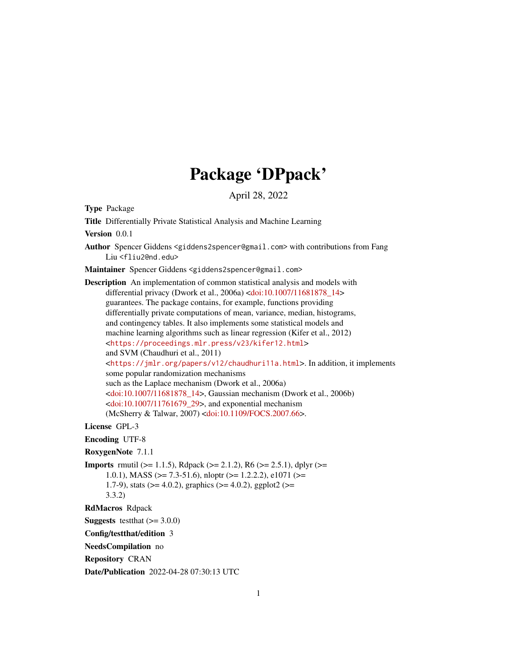# Package 'DPpack'

April 28, 2022

<span id="page-0-0"></span>Type Package

Title Differentially Private Statistical Analysis and Machine Learning

Version 0.0.1

Author Spencer Giddens <giddens2spencer@gmail.com> with contributions from Fang Liu <fliu2@nd.edu>

Maintainer Spencer Giddens <giddens2spencer@gmail.com>

Description An implementation of common statistical analysis and models with differential privacy (Dwork et al., 2006a) [<doi:10.1007/11681878\\_14>](https://doi.org/10.1007/11681878_14) guarantees. The package contains, for example, functions providing differentially private computations of mean, variance, median, histograms, and contingency tables. It also implements some statistical models and machine learning algorithms such as linear regression (Kifer et al., 2012) <<https://proceedings.mlr.press/v23/kifer12.html>> and SVM (Chaudhuri et al., 2011) <<https://jmlr.org/papers/v12/chaudhuri11a.html>>. In addition, it implements some popular randomization mechanisms such as the Laplace mechanism (Dwork et al., 2006a) [<doi:10.1007/11681878\\_14>](https://doi.org/10.1007/11681878_14), Gaussian mechanism (Dwork et al., 2006b)  $\le$ doi:10.1007/11761679\_29>, and exponential mechanism (McSherry & Talwar, 2007) [<doi:10.1109/FOCS.2007.66>](https://doi.org/10.1109/FOCS.2007.66).

License GPL-3

Encoding UTF-8

RoxygenNote 7.1.1

**Imports** rmutil ( $>= 1.1.5$ ), Rdpack ( $>= 2.1.2$ ), R6 ( $>= 2.5.1$ ), dplyr ( $>= 1.1.5$ ) 1.0.1), MASS ( $> = 7.3-51.6$ ), nloptr ( $> = 1.2.2.2$ ), e1071 ( $> =$ 1.7-9), stats ( $>= 4.0.2$ ), graphics ( $>= 4.0.2$ ), ggplot2 ( $>=$ 3.3.2)

RdMacros Rdpack

**Suggests** test that  $(>= 3.0.0)$ 

Config/testthat/edition 3

NeedsCompilation no

Repository CRAN

Date/Publication 2022-04-28 07:30:13 UTC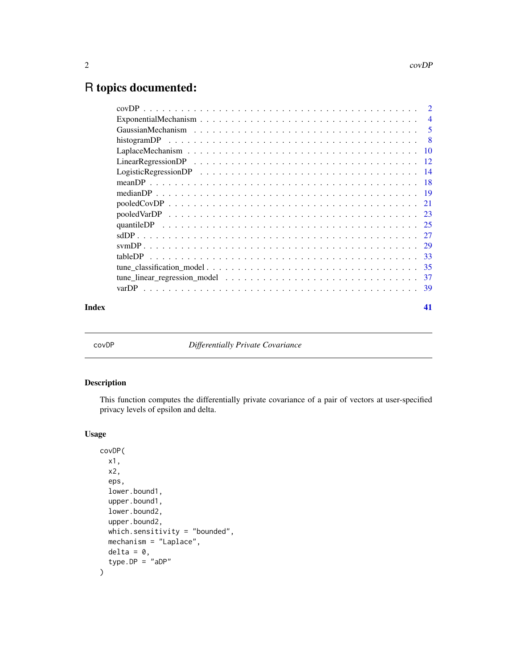# <span id="page-1-0"></span>R topics documented:

|       | tableDP |    |
|-------|---------|----|
|       |         |    |
|       |         |    |
|       |         |    |
| Index |         | 41 |

covDP *Differentially Private Covariance*

# Description

This function computes the differentially private covariance of a pair of vectors at user-specified privacy levels of epsilon and delta.

# Usage

```
covDP(
  x1,
 x2,
  eps,
  lower.bound1,
  upper.bound1,
  lower.bound2,
  upper.bound2,
 which.sensitivity = "bounded",
 mechanism = "Laplace",
 delta = 0,
  type.DP = "aDP")
```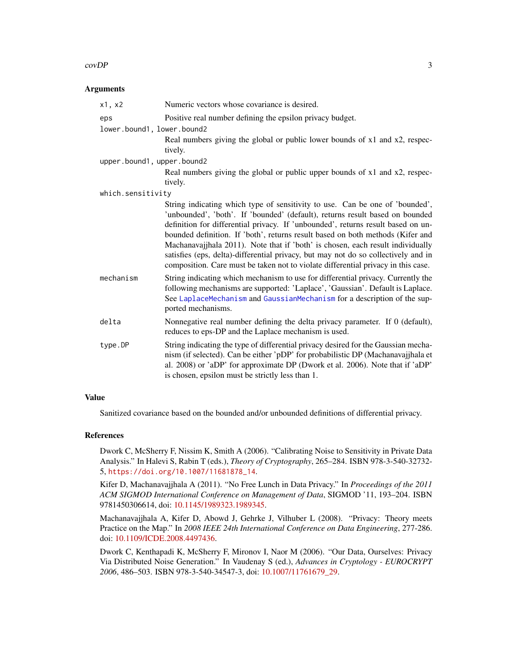# <span id="page-2-0"></span> $\text{covDP}$  3

# **Arguments**

| x1, x2                     | Numeric vectors whose covariance is desired.                                                                                                                                                                                                                                                                                                                                                                                                                                                                                                                                                    |
|----------------------------|-------------------------------------------------------------------------------------------------------------------------------------------------------------------------------------------------------------------------------------------------------------------------------------------------------------------------------------------------------------------------------------------------------------------------------------------------------------------------------------------------------------------------------------------------------------------------------------------------|
| eps                        | Positive real number defining the epsilon privacy budget.                                                                                                                                                                                                                                                                                                                                                                                                                                                                                                                                       |
| lower.bound1, lower.bound2 |                                                                                                                                                                                                                                                                                                                                                                                                                                                                                                                                                                                                 |
|                            | Real numbers giving the global or public lower bounds of x1 and x2, respec-<br>tively.                                                                                                                                                                                                                                                                                                                                                                                                                                                                                                          |
| upper.bound1, upper.bound2 |                                                                                                                                                                                                                                                                                                                                                                                                                                                                                                                                                                                                 |
|                            | Real numbers giving the global or public upper bounds of x1 and x2, respec-<br>tively.                                                                                                                                                                                                                                                                                                                                                                                                                                                                                                          |
| which.sensitivity          |                                                                                                                                                                                                                                                                                                                                                                                                                                                                                                                                                                                                 |
|                            | String indicating which type of sensitivity to use. Can be one of 'bounded',<br>'unbounded', 'both'. If 'bounded' (default), returns result based on bounded<br>definition for differential privacy. If 'unbounded', returns result based on un-<br>bounded definition. If 'both', returns result based on both methods (Kifer and<br>Machanavajjhala 2011). Note that if 'both' is chosen, each result individually<br>satisfies (eps, delta)-differential privacy, but may not do so collectively and in<br>composition. Care must be taken not to violate differential privacy in this case. |
| mechanism                  | String indicating which mechanism to use for differential privacy. Currently the<br>following mechanisms are supported: 'Laplace', 'Gaussian'. Default is Laplace.<br>See LaplaceMechanism and GaussianMechanism for a description of the sup-<br>ported mechanisms.                                                                                                                                                                                                                                                                                                                            |
| delta                      | Nonnegative real number defining the delta privacy parameter. If 0 (default),<br>reduces to eps-DP and the Laplace mechanism is used.                                                                                                                                                                                                                                                                                                                                                                                                                                                           |
| type.DP                    | String indicating the type of differential privacy desired for the Gaussian mecha-<br>nism (if selected). Can be either 'pDP' for probabilistic DP (Machanavajjhala et<br>al. 2008) or 'aDP' for approximate DP (Dwork et al. 2006). Note that if 'aDP'<br>is chosen, epsilon must be strictly less than 1.                                                                                                                                                                                                                                                                                     |

# Value

Sanitized covariance based on the bounded and/or unbounded definitions of differential privacy.

# References

Dwork C, McSherry F, Nissim K, Smith A (2006). "Calibrating Noise to Sensitivity in Private Data Analysis." In Halevi S, Rabin T (eds.), *Theory of Cryptography*, 265–284. ISBN 978-3-540-32732- 5, [https://doi.org/10.1007/11681878\\_14](https://doi.org/10.1007/11681878_14).

Kifer D, Machanavajjhala A (2011). "No Free Lunch in Data Privacy." In *Proceedings of the 2011 ACM SIGMOD International Conference on Management of Data*, SIGMOD '11, 193–204. ISBN 9781450306614, doi: [10.1145/1989323.1989345.](https://doi.org/10.1145/1989323.1989345)

Machanavajjhala A, Kifer D, Abowd J, Gehrke J, Vilhuber L (2008). "Privacy: Theory meets Practice on the Map." In *2008 IEEE 24th International Conference on Data Engineering*, 277-286. doi: [10.1109/ICDE.2008.4497436.](https://doi.org/10.1109/ICDE.2008.4497436)

Dwork C, Kenthapadi K, McSherry F, Mironov I, Naor M (2006). "Our Data, Ourselves: Privacy Via Distributed Noise Generation." In Vaudenay S (ed.), *Advances in Cryptology - EUROCRYPT 2006*, 486–503. ISBN 978-3-540-34547-3, doi: [10.1007/11761679\\_29.](https://doi.org/10.1007/11761679_29)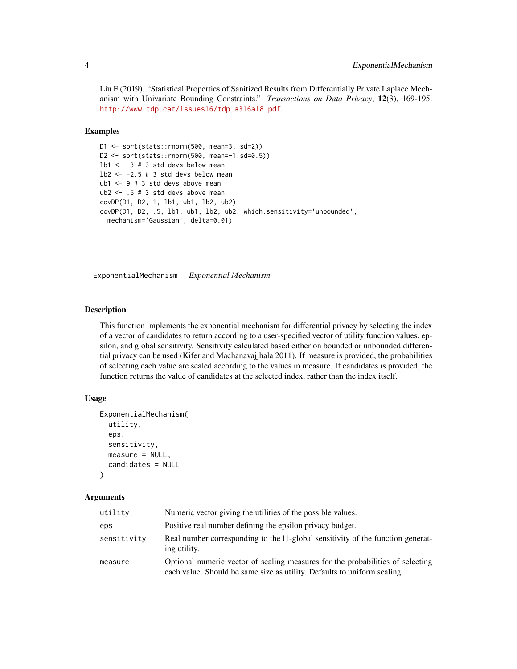<span id="page-3-0"></span>Liu F (2019). "Statistical Properties of Sanitized Results from Differentially Private Laplace Mechanism with Univariate Bounding Constraints." *Transactions on Data Privacy*, 12(3), 169-195. <http://www.tdp.cat/issues16/tdp.a316a18.pdf>.

# Examples

```
D1 <- sort(stats::rnorm(500, mean=3, sd=2))
D2 <- sort(stats::rnorm(500, mean=-1,sd=0.5))
1b1 \leftarrow -3 # 3 std devs below mean
1b2 \le -2.5 \# 3 std devs below mean
ub1 \leq 9 # 3 std devs above mean
ub2 < - .5 # 3 std devs above meancovDP(D1, D2, 1, lb1, ub1, lb2, ub2)
covDP(D1, D2, .5, lb1, ub1, lb2, ub2, which.sensitivity='unbounded',
  mechanism='Gaussian', delta=0.01)
```
<span id="page-3-1"></span>ExponentialMechanism *Exponential Mechanism*

# Description

This function implements the exponential mechanism for differential privacy by selecting the index of a vector of candidates to return according to a user-specified vector of utility function values, epsilon, and global sensitivity. Sensitivity calculated based either on bounded or unbounded differential privacy can be used (Kifer and Machanavajjhala 2011). If measure is provided, the probabilities of selecting each value are scaled according to the values in measure. If candidates is provided, the function returns the value of candidates at the selected index, rather than the index itself.

# Usage

```
ExponentialMechanism(
  utility,
  eps,
  sensitivity,
  measure = NULL,
  candidates = NULL
)
```
## Arguments

| utility     | Numeric vector giving the utilities of the possible values.                                                                                                |
|-------------|------------------------------------------------------------------------------------------------------------------------------------------------------------|
| eps         | Positive real number defining the epsilon privacy budget.                                                                                                  |
| sensitivity | Real number corresponding to the 11-global sensitivity of the function generat-<br>ing utility.                                                            |
| measure     | Optional numeric vector of scaling measures for the probabilities of selecting<br>each value. Should be same size as utility. Defaults to uniform scaling. |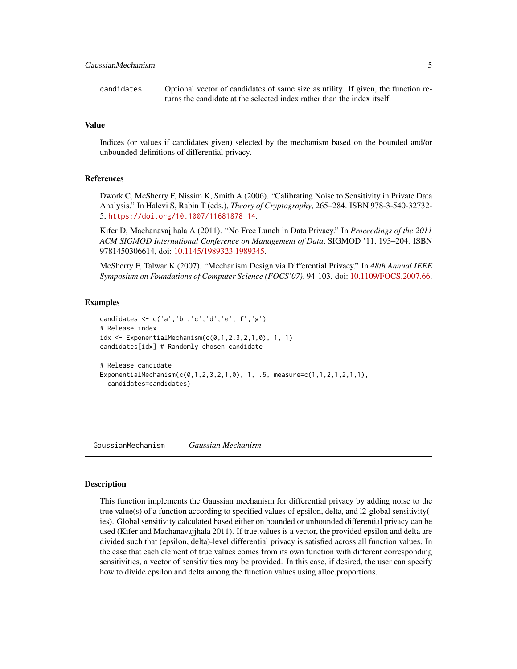<span id="page-4-0"></span>candidates Optional vector of candidates of same size as utility. If given, the function returns the candidate at the selected index rather than the index itself.

# Value

Indices (or values if candidates given) selected by the mechanism based on the bounded and/or unbounded definitions of differential privacy.

# References

Dwork C, McSherry F, Nissim K, Smith A (2006). "Calibrating Noise to Sensitivity in Private Data Analysis." In Halevi S, Rabin T (eds.), *Theory of Cryptography*, 265–284. ISBN 978-3-540-32732- 5, [https://doi.org/10.1007/11681878\\_14](https://doi.org/10.1007/11681878_14).

Kifer D, Machanavajjhala A (2011). "No Free Lunch in Data Privacy." In *Proceedings of the 2011 ACM SIGMOD International Conference on Management of Data*, SIGMOD '11, 193–204. ISBN 9781450306614, doi: [10.1145/1989323.1989345.](https://doi.org/10.1145/1989323.1989345)

McSherry F, Talwar K (2007). "Mechanism Design via Differential Privacy." In *48th Annual IEEE Symposium on Foundations of Computer Science (FOCS'07)*, 94-103. doi: [10.1109/FOCS.2007.66.](https://doi.org/10.1109/FOCS.2007.66)

#### Examples

```
candidates <- c('a','b','c','d','e','f','g')
# Release index
idx \leq ExponentialMechanism(c(0,1,2,3,2,1,0), 1, 1)candidates[idx] # Randomly chosen candidate
# Release candidate
ExponentialMechanism(c(0,1,2,3,2,1,0), 1, .5, measure=c(1,1,2,1,2,1,1),
 candidates=candidates)
```
<span id="page-4-1"></span>GaussianMechanism *Gaussian Mechanism*

#### Description

This function implements the Gaussian mechanism for differential privacy by adding noise to the true value(s) of a function according to specified values of epsilon, delta, and l2-global sensitivity( ies). Global sensitivity calculated based either on bounded or unbounded differential privacy can be used (Kifer and Machanavajjhala 2011). If true.values is a vector, the provided epsilon and delta are divided such that (epsilon, delta)-level differential privacy is satisfied across all function values. In the case that each element of true.values comes from its own function with different corresponding sensitivities, a vector of sensitivities may be provided. In this case, if desired, the user can specify how to divide epsilon and delta among the function values using alloc.proportions.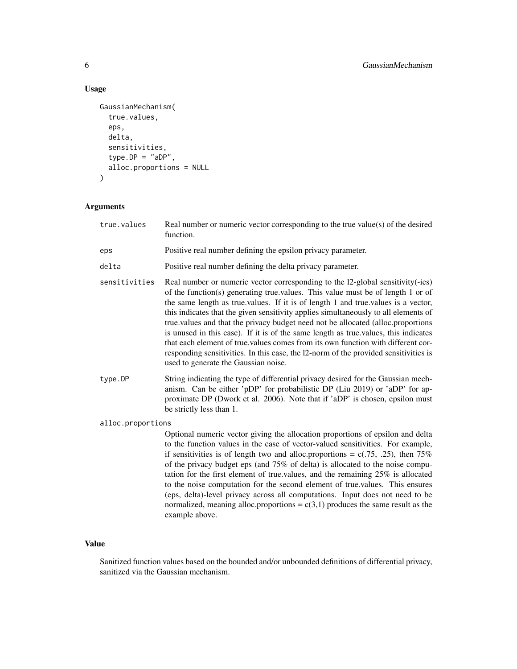# Usage

```
GaussianMechanism(
  true.values,
  eps,
  delta,
  sensitivities,
  type.DP = "aDP",alloc.proportions = NULL
)
```
# Arguments

| true.values       | Real number or numeric vector corresponding to the true value(s) of the desired<br>function.                                                                                                                                                                                                                                                                                                                                                                                                                                                                                                                                                                                                                                                 |
|-------------------|----------------------------------------------------------------------------------------------------------------------------------------------------------------------------------------------------------------------------------------------------------------------------------------------------------------------------------------------------------------------------------------------------------------------------------------------------------------------------------------------------------------------------------------------------------------------------------------------------------------------------------------------------------------------------------------------------------------------------------------------|
| eps               | Positive real number defining the epsilon privacy parameter.                                                                                                                                                                                                                                                                                                                                                                                                                                                                                                                                                                                                                                                                                 |
| delta             | Positive real number defining the delta privacy parameter.                                                                                                                                                                                                                                                                                                                                                                                                                                                                                                                                                                                                                                                                                   |
| sensitivities     | Real number or numeric vector corresponding to the 12-global sensitivity(-ies)<br>of the function(s) generating true values. This value must be of length 1 or of<br>the same length as true.values. If it is of length 1 and true.values is a vector,<br>this indicates that the given sensitivity applies simultaneously to all elements of<br>true.values and that the privacy budget need not be allocated (alloc.proportions<br>is unused in this case). If it is of the same length as true values, this indicates<br>that each element of true values comes from its own function with different cor-<br>responding sensitivities. In this case, the 12-norm of the provided sensitivities is<br>used to generate the Gaussian noise. |
| type.DP           | String indicating the type of differential privacy desired for the Gaussian mech-<br>anism. Can be either 'pDP' for probabilistic DP (Liu 2019) or 'aDP' for ap-<br>proximate DP (Dwork et al. 2006). Note that if 'aDP' is chosen, epsilon must<br>be strictly less than 1.                                                                                                                                                                                                                                                                                                                                                                                                                                                                 |
| alloc.proportions |                                                                                                                                                                                                                                                                                                                                                                                                                                                                                                                                                                                                                                                                                                                                              |
|                   | Optional numeric vector giving the allocation proportions of epsilon and delta<br>to the function values in the case of vector-valued sensitivities. For example,<br>if sensitivities is of length two and alloc.proportions = $c(.75, .25)$ , then 75%<br>of the privacy budget eps (and $75\%$ of delta) is allocated to the noise compu-                                                                                                                                                                                                                                                                                                                                                                                                  |

of the privacy budget eps (and 75% of delta) is allocated to the noise computation for the first element of true.values, and the remaining 25% is allocated to the noise computation for the second element of true.values. This ensures (eps, delta)-level privacy across all computations. Input does not need to be normalized, meaning alloc.proportions =  $c(3,1)$  produces the same result as the example above.

# Value

Sanitized function values based on the bounded and/or unbounded definitions of differential privacy, sanitized via the Gaussian mechanism.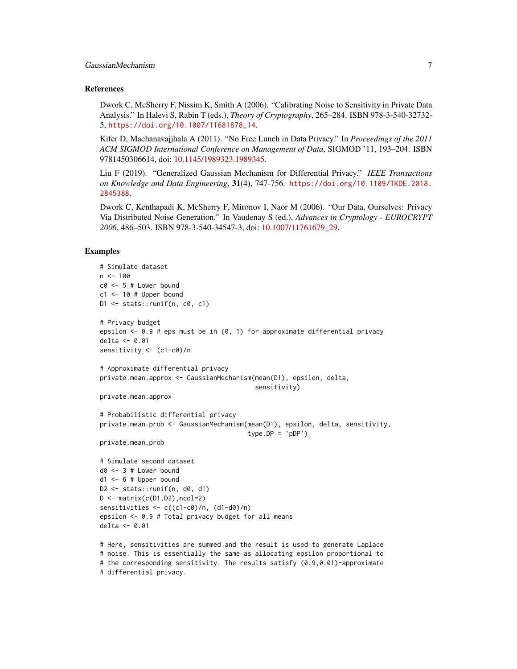#### References

Dwork C, McSherry F, Nissim K, Smith A (2006). "Calibrating Noise to Sensitivity in Private Data Analysis." In Halevi S, Rabin T (eds.), *Theory of Cryptography*, 265–284. ISBN 978-3-540-32732- 5, [https://doi.org/10.1007/11681878\\_14](https://doi.org/10.1007/11681878_14).

Kifer D, Machanavajjhala A (2011). "No Free Lunch in Data Privacy." In *Proceedings of the 2011 ACM SIGMOD International Conference on Management of Data*, SIGMOD '11, 193–204. ISBN 9781450306614, doi: [10.1145/1989323.1989345.](https://doi.org/10.1145/1989323.1989345)

Liu F (2019). "Generalized Gaussian Mechanism for Differential Privacy." *IEEE Transactions on Knowledge and Data Engineering*, 31(4), 747-756. [https://doi.org/10.1109/TKDE.2018.](https://doi.org/10.1109/TKDE.2018.2845388) [2845388](https://doi.org/10.1109/TKDE.2018.2845388).

Dwork C, Kenthapadi K, McSherry F, Mironov I, Naor M (2006). "Our Data, Ourselves: Privacy Via Distributed Noise Generation." In Vaudenay S (ed.), *Advances in Cryptology - EUROCRYPT 2006*, 486–503. ISBN 978-3-540-34547-3, doi: [10.1007/11761679\\_29.](https://doi.org/10.1007/11761679_29)

```
# Simulate dataset
n < -100c0 < -5 # Lower bound
c1 <- 10 # Upper bound
D1 <- stats::runif(n, c0, c1)
# Privacy budget
epsilon <- 0.9 # eps must be in (0, 1) for approximate differential privacy
delta <- 0.01
sensitivity <- (c1-c0)/n
# Approximate differential privacy
private.mean.approx <- GaussianMechanism(mean(D1), epsilon, delta,
                                           sensitivity)
private.mean.approx
# Probabilistic differential privacy
private.mean.prob <- GaussianMechanism(mean(D1), epsilon, delta, sensitivity,
                                         type.DP = 'pDP')private.mean.prob
# Simulate second dataset
d0 < -3 # Lower bound
d1 \le -6 # Upper bound
D2 \le - stats:: runif(n, d0, d1)
D \leftarrow \text{matrix}(c(D1, D2), \text{ncol=2})sensitivities \langle -c((c1-c0)/n, (d1-d0)/n) \rangleepsilon <- 0.9 # Total privacy budget for all means
delta <- 0.01
# Here, sensitivities are summed and the result is used to generate Laplace
# noise. This is essentially the same as allocating epsilon proportional to
# the corresponding sensitivity. The results satisfy (0.9,0.01)-approximate
```

```
# differential privacy.
```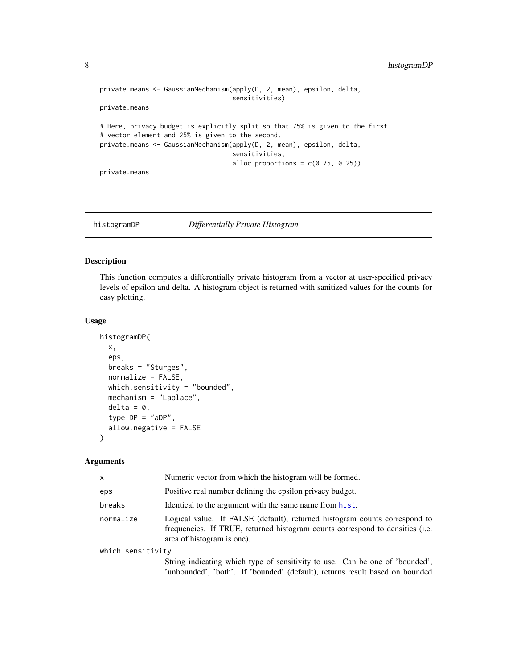```
private.means <- GaussianMechanism(apply(D, 2, mean), epsilon, delta,
                                   sensitivities)
private.means
# Here, privacy budget is explicitly split so that 75% is given to the first
# vector element and 25% is given to the second.
private.means <- GaussianMechanism(apply(D, 2, mean), epsilon, delta,
                                   sensitivities,
                                   alloc.proportions = c(0.75, 0.25)private.means
```
histogramDP *Differentially Private Histogram*

# Description

This function computes a differentially private histogram from a vector at user-specified privacy levels of epsilon and delta. A histogram object is returned with sanitized values for the counts for easy plotting.

# Usage

```
histogramDP(
  x,
  eps,
 breaks = "Sturges",
  normalize = FALSE,
  which.sensitivity = "bounded",
 mechanism = "Laplace",
  delta = 0,
  type.DP = "aDP",
  allow.negative = FALSE
\lambda
```
#### Arguments

| $\mathsf{x}$      | Numeric vector from which the histogram will be formed.                                                                                                                                   |  |
|-------------------|-------------------------------------------------------------------------------------------------------------------------------------------------------------------------------------------|--|
| eps               | Positive real number defining the epsilon privacy budget.                                                                                                                                 |  |
| breaks            | Identical to the argument with the same name from hist.                                                                                                                                   |  |
| normalize         | Logical value. If FALSE (default), returned histogram counts correspond to<br>frequencies. If TRUE, returned histogram counts correspond to densities (i.e.<br>area of histogram is one). |  |
| which.sensitivity |                                                                                                                                                                                           |  |
|                   | String indicating which type of sensitivity to use. Can be one of 'bounded',<br>'unbounded', 'both'. If 'bounded' (default), returns result based on bounded                              |  |

<span id="page-7-0"></span>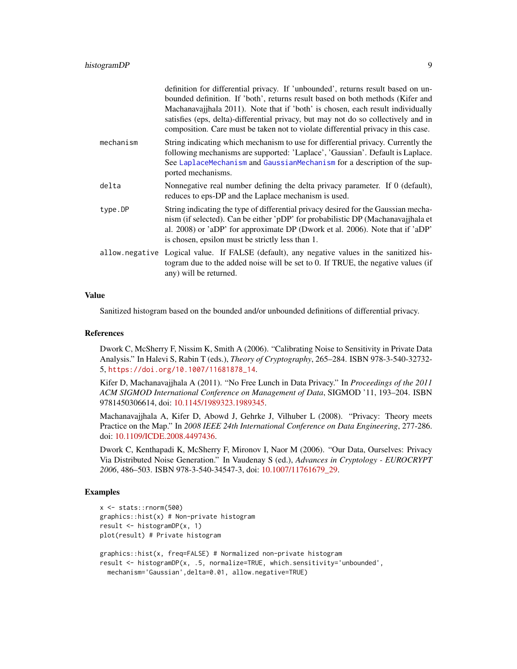<span id="page-8-0"></span>

|           | definition for differential privacy. If 'unbounded', returns result based on un-<br>bounded definition. If 'both', returns result based on both methods (Kifer and<br>Machanavajjhala 2011). Note that if 'both' is chosen, each result individually<br>satisfies (eps, delta)-differential privacy, but may not do so collectively and in<br>composition. Care must be taken not to violate differential privacy in this case. |
|-----------|---------------------------------------------------------------------------------------------------------------------------------------------------------------------------------------------------------------------------------------------------------------------------------------------------------------------------------------------------------------------------------------------------------------------------------|
| mechanism | String indicating which mechanism to use for differential privacy. Currently the<br>following mechanisms are supported: 'Laplace', 'Gaussian'. Default is Laplace.<br>See LaplaceMechanism and GaussianMechanism for a description of the sup-<br>ported mechanisms.                                                                                                                                                            |
| delta     | Nonnegative real number defining the delta privacy parameter. If 0 (default),<br>reduces to eps-DP and the Laplace mechanism is used.                                                                                                                                                                                                                                                                                           |
| type.DP   | String indicating the type of differential privacy desired for the Gaussian mecha-<br>nism (if selected). Can be either 'pDP' for probabilistic DP (Machanavajjhala et<br>al. 2008) or 'aDP' for approximate DP (Dwork et al. 2006). Note that if 'aDP'<br>is chosen, epsilon must be strictly less than 1.                                                                                                                     |
|           | allow negative Logical value. If FALSE (default), any negative values in the sanitized his-<br>togram due to the added noise will be set to 0. If TRUE, the negative values (if<br>any) will be returned.                                                                                                                                                                                                                       |

# Value

Sanitized histogram based on the bounded and/or unbounded definitions of differential privacy.

# References

Dwork C, McSherry F, Nissim K, Smith A (2006). "Calibrating Noise to Sensitivity in Private Data Analysis." In Halevi S, Rabin T (eds.), *Theory of Cryptography*, 265–284. ISBN 978-3-540-32732- 5, [https://doi.org/10.1007/11681878\\_14](https://doi.org/10.1007/11681878_14).

Kifer D, Machanavajjhala A (2011). "No Free Lunch in Data Privacy." In *Proceedings of the 2011 ACM SIGMOD International Conference on Management of Data*, SIGMOD '11, 193–204. ISBN 9781450306614, doi: [10.1145/1989323.1989345.](https://doi.org/10.1145/1989323.1989345)

Machanavajjhala A, Kifer D, Abowd J, Gehrke J, Vilhuber L (2008). "Privacy: Theory meets Practice on the Map." In *2008 IEEE 24th International Conference on Data Engineering*, 277-286. doi: [10.1109/ICDE.2008.4497436.](https://doi.org/10.1109/ICDE.2008.4497436)

Dwork C, Kenthapadi K, McSherry F, Mironov I, Naor M (2006). "Our Data, Ourselves: Privacy Via Distributed Noise Generation." In Vaudenay S (ed.), *Advances in Cryptology - EUROCRYPT 2006*, 486–503. ISBN 978-3-540-34547-3, doi: [10.1007/11761679\\_29.](https://doi.org/10.1007/11761679_29)

```
x <- stats::rnorm(500)
graphics::hist(x) # Non-private histogram
result <- histogramDP(x, 1)
plot(result) # Private histogram
graphics::hist(x, freq=FALSE) # Normalized non-private histogram
result <- histogramDP(x, .5, normalize=TRUE, which.sensitivity='unbounded',
 mechanism='Gaussian',delta=0.01, allow.negative=TRUE)
```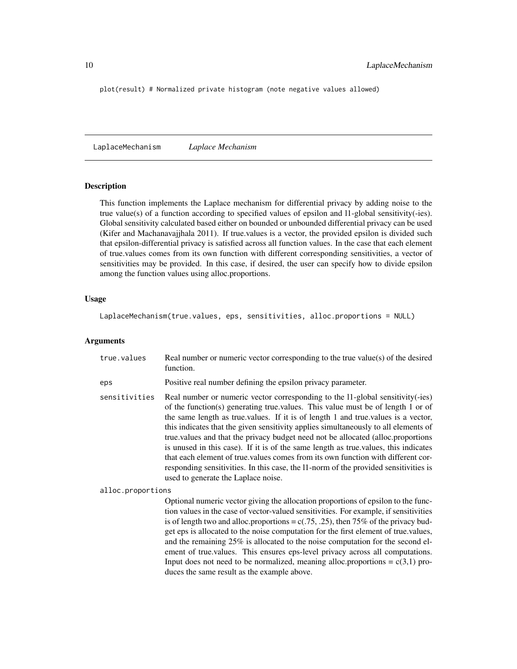<span id="page-9-0"></span>plot(result) # Normalized private histogram (note negative values allowed)

<span id="page-9-1"></span>LaplaceMechanism *Laplace Mechanism*

# Description

This function implements the Laplace mechanism for differential privacy by adding noise to the true value(s) of a function according to specified values of epsilon and l1-global sensitivity(-ies). Global sensitivity calculated based either on bounded or unbounded differential privacy can be used (Kifer and Machanavajjhala 2011). If true.values is a vector, the provided epsilon is divided such that epsilon-differential privacy is satisfied across all function values. In the case that each element of true.values comes from its own function with different corresponding sensitivities, a vector of sensitivities may be provided. In this case, if desired, the user can specify how to divide epsilon among the function values using alloc.proportions.

# Usage

```
LaplaceMechanism(true.values, eps, sensitivities, alloc.proportions = NULL)
```
# Arguments

| true.values       | Real number or numeric vector corresponding to the true value(s) of the desired<br>function.                                                                                                                                                                                                                                                                                                                                                                                                                                                                                                                                                                                                                                                 |
|-------------------|----------------------------------------------------------------------------------------------------------------------------------------------------------------------------------------------------------------------------------------------------------------------------------------------------------------------------------------------------------------------------------------------------------------------------------------------------------------------------------------------------------------------------------------------------------------------------------------------------------------------------------------------------------------------------------------------------------------------------------------------|
| eps               | Positive real number defining the epsilon privacy parameter.                                                                                                                                                                                                                                                                                                                                                                                                                                                                                                                                                                                                                                                                                 |
| sensitivities     | Real number or numeric vector corresponding to the 11-global sensitivity(-ies)<br>of the function(s) generating true values. This value must be of length 1 or of<br>the same length as true values. If it is of length 1 and true values is a vector,<br>this indicates that the given sensitivity applies simultaneously to all elements of<br>true values and that the privacy budget need not be allocated (alloc.proportions<br>is unused in this case). If it is of the same length as true values, this indicates<br>that each element of true, values comes from its own function with different cor-<br>responding sensitivities. In this case, the 11-norm of the provided sensitivities is<br>used to generate the Laplace noise. |
| alloc.proportions |                                                                                                                                                                                                                                                                                                                                                                                                                                                                                                                                                                                                                                                                                                                                              |
|                   | Optional numeric vector giving the allocation proportions of epsilon to the func-<br>tion values in the case of vector-valued sensitivities. For example, if sensitivities<br>is of length two and alloc.proportions = $c(.75, .25)$ , then 75% of the privacy bud-<br>get eps is allocated to the noise computation for the first element of true values,<br>and the remaining 25% is allocated to the noise computation for the second el-<br>ement of true.values. This ensures eps-level privacy across all computations.<br>Input does not need to be normalized, meaning alloc.proportions = $c(3,1)$ pro-<br>duces the same result as the example above.                                                                              |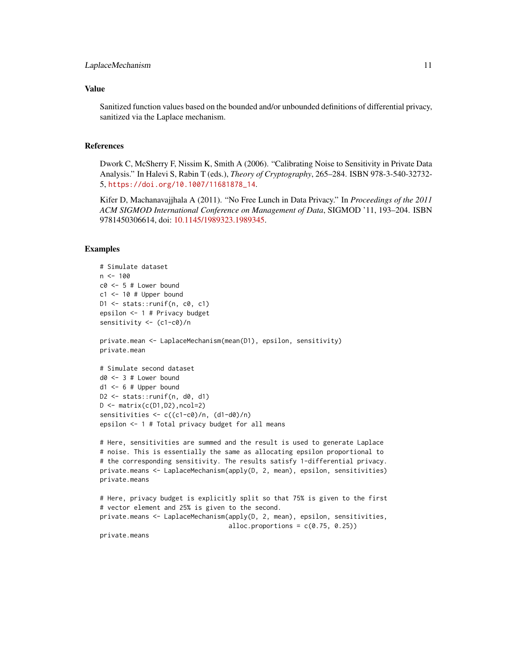# Value

Sanitized function values based on the bounded and/or unbounded definitions of differential privacy, sanitized via the Laplace mechanism.

# **References**

Dwork C, McSherry F, Nissim K, Smith A (2006). "Calibrating Noise to Sensitivity in Private Data Analysis." In Halevi S, Rabin T (eds.), *Theory of Cryptography*, 265–284. ISBN 978-3-540-32732- 5, [https://doi.org/10.1007/11681878\\_14](https://doi.org/10.1007/11681878_14).

Kifer D, Machanavajjhala A (2011). "No Free Lunch in Data Privacy." In *Proceedings of the 2011 ACM SIGMOD International Conference on Management of Data*, SIGMOD '11, 193–204. ISBN 9781450306614, doi: [10.1145/1989323.1989345.](https://doi.org/10.1145/1989323.1989345)

```
# Simulate dataset
n < -100c0 < -5 # Lower bound
c1 <- 10 # Upper bound
D1 \le stats:: runif(n, c0, c1)
epsilon <- 1 # Privacy budget
sensitivity <- (c1-c0)/n
private.mean <- LaplaceMechanism(mean(D1), epsilon, sensitivity)
private.mean
# Simulate second dataset
d0 <- 3 # Lower bound
d1 <- 6 # Upper bound
D2 \leq stats:: runif(n, d0, d1)
D \leftarrow matrix(c(D1, D2), ncol=2)sensitivities \langle -c((c1-c0)/n, (d1-d0)/n) \rangleepsilon <- 1 # Total privacy budget for all means
# Here, sensitivities are summed and the result is used to generate Laplace
# noise. This is essentially the same as allocating epsilon proportional to
# the corresponding sensitivity. The results satisfy 1-differential privacy.
private.means <- LaplaceMechanism(apply(D, 2, mean), epsilon, sensitivities)
private.means
# Here, privacy budget is explicitly split so that 75% is given to the first
# vector element and 25% is given to the second.
private.means <- LaplaceMechanism(apply(D, 2, mean), epsilon, sensitivities,
                                   alloc.proportions = c(0.75, 0.25))
private.means
```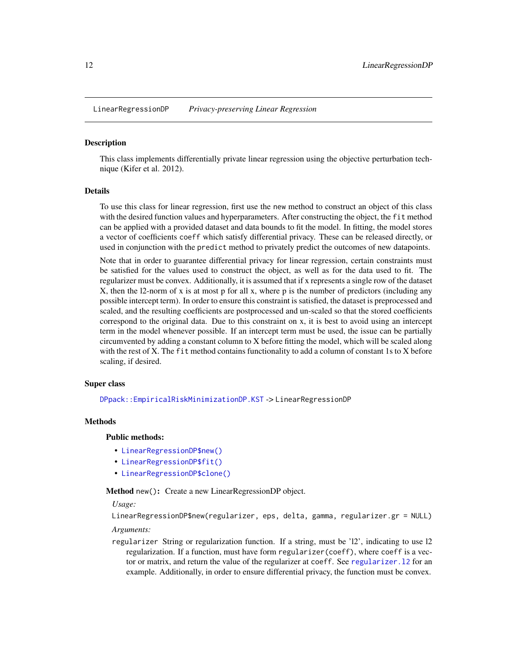<span id="page-11-0"></span>LinearRegressionDP *Privacy-preserving Linear Regression*

#### **Description**

This class implements differentially private linear regression using the objective perturbation technique (Kifer et al. 2012).

#### Details

To use this class for linear regression, first use the new method to construct an object of this class with the desired function values and hyperparameters. After constructing the object, the fit method can be applied with a provided dataset and data bounds to fit the model. In fitting, the model stores a vector of coefficients coeff which satisfy differential privacy. These can be released directly, or used in conjunction with the predict method to privately predict the outcomes of new datapoints.

Note that in order to guarantee differential privacy for linear regression, certain constraints must be satisfied for the values used to construct the object, as well as for the data used to fit. The regularizer must be convex. Additionally, it is assumed that if x represents a single row of the dataset  $X$ , then the 12-norm of x is at most p for all x, where p is the number of predictors (including any possible intercept term). In order to ensure this constraint is satisfied, the dataset is preprocessed and scaled, and the resulting coefficients are postprocessed and un-scaled so that the stored coefficients correspond to the original data. Due to this constraint on x, it is best to avoid using an intercept term in the model whenever possible. If an intercept term must be used, the issue can be partially circumvented by adding a constant column to X before fitting the model, which will be scaled along with the rest of X. The fit method contains functionality to add a column of constant 1s to X before scaling, if desired.

#### Super class

[DPpack::EmpiricalRiskMinimizationDP.KST](#page-0-0) -> LinearRegressionDP

#### Methods

# Public methods:

- [LinearRegressionDP\\$new\(\)](#page-11-1)
- [LinearRegressionDP\\$fit\(\)](#page-12-0)
- [LinearRegressionDP\\$clone\(\)](#page-12-1)

<span id="page-11-1"></span>Method new(): Create a new LinearRegressionDP object.

*Usage:*

LinearRegressionDP\$new(regularizer, eps, delta, gamma, regularizer.gr = NULL) *Arguments:*

regularizer String or regularization function. If a string, must be 'l2', indicating to use l2 regularization. If a function, must have form regularizer(coeff), where coeff is a vector or matrix, and return the value of the regularizer at coeff. See [regularizer.l2](#page-0-0) for an example. Additionally, in order to ensure differential privacy, the function must be convex.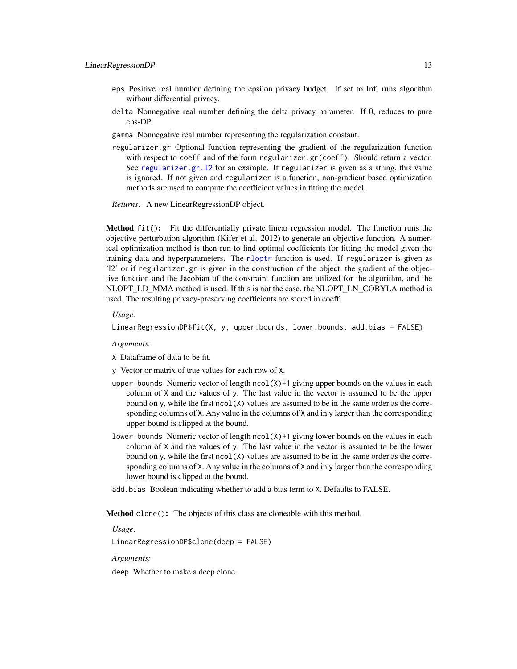- <span id="page-12-2"></span>eps Positive real number defining the epsilon privacy budget. If set to Inf, runs algorithm without differential privacy.
- delta Nonnegative real number defining the delta privacy parameter. If 0, reduces to pure eps-DP.
- gamma Nonnegative real number representing the regularization constant.
- regularizer.gr Optional function representing the gradient of the regularization function with respect to coeff and of the form regularizer.gr(coeff). Should return a vector. See [regularizer.gr.l2](#page-0-0) for an example. If regularizer is given as a string, this value is ignored. If not given and regularizer is a function, non-gradient based optimization methods are used to compute the coefficient values in fitting the model.

*Returns:* A new LinearRegressionDP object.

<span id="page-12-0"></span>Method fit(): Fit the differentially private linear regression model. The function runs the objective perturbation algorithm (Kifer et al. 2012) to generate an objective function. A numerical optimization method is then run to find optimal coefficients for fitting the model given the training data and hyperparameters. The [nloptr](#page-0-0) function is used. If regularizer is given as 'l2' or if regularizer.gr is given in the construction of the object, the gradient of the objective function and the Jacobian of the constraint function are utilized for the algorithm, and the NLOPT\_LD\_MMA method is used. If this is not the case, the NLOPT\_LN\_COBYLA method is used. The resulting privacy-preserving coefficients are stored in coeff.

*Usage:*

```
LinearRegressionDP$fit(X, y, upper.bounds, lower.bounds, add.bias = FALSE)
```
*Arguments:*

X Dataframe of data to be fit.

y Vector or matrix of true values for each row of X.

- upper. bounds Numeric vector of length  $\text{ncol}(X)$ +1 giving upper bounds on the values in each column of  $X$  and the values of y. The last value in the vector is assumed to be the upper bound on y, while the first  $ncol(X)$  values are assumed to be in the same order as the corresponding columns of X. Any value in the columns of X and in y larger than the corresponding upper bound is clipped at the bound.
- lower.bounds Numeric vector of length ncol(X)+1 giving lower bounds on the values in each column of X and the values of y. The last value in the vector is assumed to be the lower bound on y, while the first  $ncol(X)$  values are assumed to be in the same order as the corresponding columns of X. Any value in the columns of X and in y larger than the corresponding lower bound is clipped at the bound.
- add.bias Boolean indicating whether to add a bias term to X. Defaults to FALSE.

<span id="page-12-1"></span>Method clone(): The objects of this class are cloneable with this method.

*Usage:*

LinearRegressionDP\$clone(deep = FALSE)

*Arguments:*

deep Whether to make a deep clone.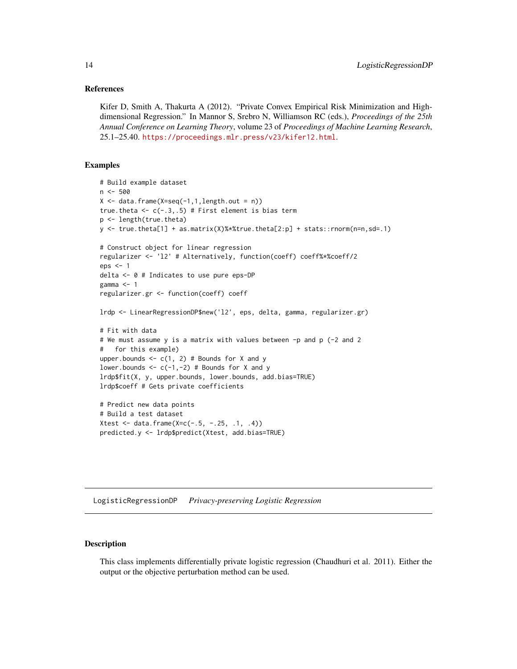# <span id="page-13-0"></span>References

Kifer D, Smith A, Thakurta A (2012). "Private Convex Empirical Risk Minimization and Highdimensional Regression." In Mannor S, Srebro N, Williamson RC (eds.), *Proceedings of the 25th Annual Conference on Learning Theory*, volume 23 of *Proceedings of Machine Learning Research*, 25.1–25.40. <https://proceedings.mlr.press/v23/kifer12.html>.

# Examples

```
# Build example dataset
n <- 500
X \leq - data.frame(X=seq(-1,1,length.out = n))
true.theta \leq c(-.3,.5) # First element is bias term
p <- length(true.theta)
y <- true.theta[1] + as.matrix(X)%*%true.theta[2:p] + stats::rnorm(n=n,sd=.1)
# Construct object for linear regression
regularizer <- 'l2' # Alternatively, function(coeff) coeff%*%coeff/2
eps <- 1
delta <- 0 # Indicates to use pure eps-DP
gamma <-1regularizer.gr <- function(coeff) coeff
lrdp <- LinearRegressionDP$new('l2', eps, delta, gamma, regularizer.gr)
# Fit with data
# We must assume y is a matrix with values between -p and p (-2 and 2
# for this example)
upper.bounds \leq -c(1, 2) # Bounds for X and y
lower.bounds \leq c(-1, -2) # Bounds for X and y
lrdp$fit(X, y, upper.bounds, lower.bounds, add.bias=TRUE)
lrdp$coeff # Gets private coefficients
# Predict new data points
# Build a test dataset
Xtest <- data.frame(X=c(-.5, -.25, .1, .4))
predicted.y <- lrdp$predict(Xtest, add.bias=TRUE)
```
LogisticRegressionDP *Privacy-preserving Logistic Regression*

# Description

This class implements differentially private logistic regression (Chaudhuri et al. 2011). Either the output or the objective perturbation method can be used.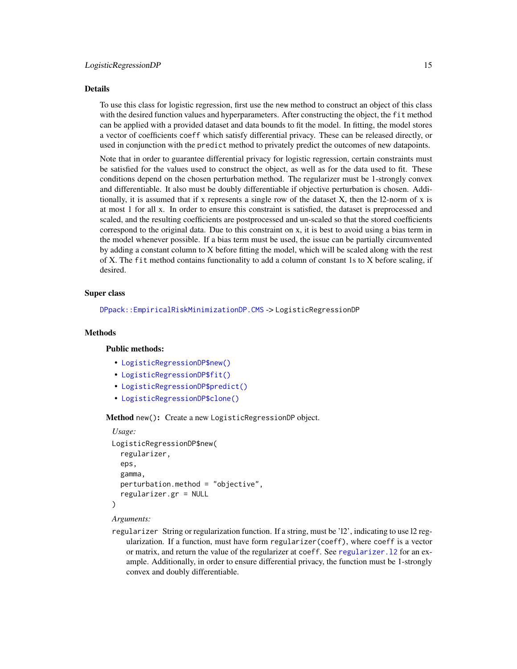#### <span id="page-14-0"></span>Details

To use this class for logistic regression, first use the new method to construct an object of this class with the desired function values and hyperparameters. After constructing the object, the fit method can be applied with a provided dataset and data bounds to fit the model. In fitting, the model stores a vector of coefficients coeff which satisfy differential privacy. These can be released directly, or used in conjunction with the predict method to privately predict the outcomes of new datapoints.

Note that in order to guarantee differential privacy for logistic regression, certain constraints must be satisfied for the values used to construct the object, as well as for the data used to fit. These conditions depend on the chosen perturbation method. The regularizer must be 1-strongly convex and differentiable. It also must be doubly differentiable if objective perturbation is chosen. Additionally, it is assumed that if x represents a single row of the dataset X, then the l2-norm of x is at most 1 for all x. In order to ensure this constraint is satisfied, the dataset is preprocessed and scaled, and the resulting coefficients are postprocessed and un-scaled so that the stored coefficients correspond to the original data. Due to this constraint on x, it is best to avoid using a bias term in the model whenever possible. If a bias term must be used, the issue can be partially circumvented by adding a constant column to X before fitting the model, which will be scaled along with the rest of X. The fit method contains functionality to add a column of constant 1s to X before scaling, if desired.

# Super class

[DPpack::EmpiricalRiskMinimizationDP.CMS](#page-0-0) -> LogisticRegressionDP

#### Methods

# Public methods:

- [LogisticRegressionDP\\$new\(\)](#page-11-1)
- [LogisticRegressionDP\\$fit\(\)](#page-12-0)
- [LogisticRegressionDP\\$predict\(\)](#page-15-0)
- [LogisticRegressionDP\\$clone\(\)](#page-12-1)

Method new(): Create a new LogisticRegressionDP object.

```
Usage:
LogisticRegressionDP$new(
  regularizer,
  eps,
  gamma,
  perturbation.method = "objective",
  regularizer.gr = NULL
)
```
#### *Arguments:*

regularizer String or regularization function. If a string, must be 'l2', indicating to use l2 regularization. If a function, must have form regularizer(coeff), where coeff is a vector or matrix, and return the value of the regularizer at coeff. See [regularizer.l2](#page-0-0) for an example. Additionally, in order to ensure differential privacy, the function must be 1-strongly convex and doubly differentiable.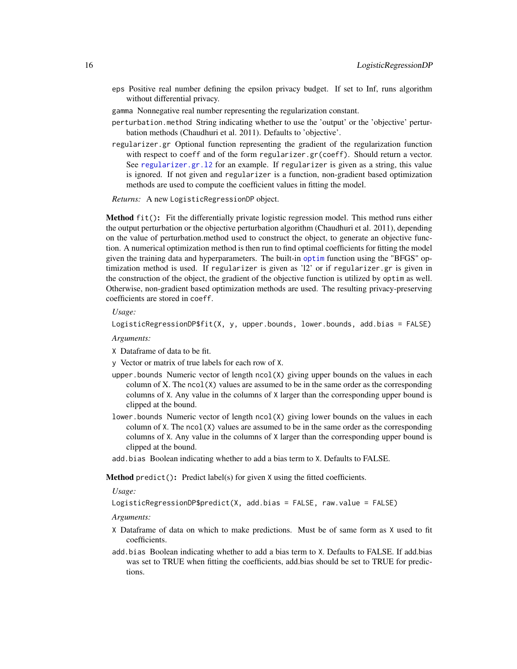- <span id="page-15-1"></span>eps Positive real number defining the epsilon privacy budget. If set to Inf, runs algorithm without differential privacy.
- gamma Nonnegative real number representing the regularization constant.
- perturbation.method String indicating whether to use the 'output' or the 'objective' perturbation methods (Chaudhuri et al. 2011). Defaults to 'objective'.
- regularizer.gr Optional function representing the gradient of the regularization function with respect to coeff and of the form regularizer.gr(coeff). Should return a vector. See regularizer.gr.12 for an example. If regularizer is given as a string, this value is ignored. If not given and regularizer is a function, non-gradient based optimization methods are used to compute the coefficient values in fitting the model.

*Returns:* A new LogisticRegressionDP object.

Method fit(): Fit the differentially private logistic regression model. This method runs either the output perturbation or the objective perturbation algorithm (Chaudhuri et al. 2011), depending on the value of perturbation.method used to construct the object, to generate an objective function. A numerical optimization method is then run to find optimal coefficients for fitting the model given the training data and hyperparameters. The built-in [optim](#page-0-0) function using the "BFGS" optimization method is used. If regularizer is given as 'l2' or if regularizer.gr is given in the construction of the object, the gradient of the objective function is utilized by optim as well. Otherwise, non-gradient based optimization methods are used. The resulting privacy-preserving coefficients are stored in coeff.

*Usage:*

```
LogisticRegressionDP$fit(X, y, upper.bounds, lower.bounds, add.bias = FALSE)
```
*Arguments:*

- X Dataframe of data to be fit.
- y Vector or matrix of true labels for each row of X.
- upper. bounds Numeric vector of length  $ncol(X)$  giving upper bounds on the values in each column of X. The  $ncol(X)$  values are assumed to be in the same order as the corresponding columns of X. Any value in the columns of X larger than the corresponding upper bound is clipped at the bound.
- lower.bounds Numeric vector of length  $ncol(X)$  giving lower bounds on the values in each column of  $X$ . The ncol $(X)$  values are assumed to be in the same order as the corresponding columns of X. Any value in the columns of X larger than the corresponding upper bound is clipped at the bound.
- add.bias Boolean indicating whether to add a bias term to X. Defaults to FALSE.

<span id="page-15-0"></span>Method predict(): Predict label(s) for given X using the fitted coefficients.

*Usage:*

```
LogisticRegressionDP$predict(X, add.bias = FALSE, raw.value = FALSE)
```
*Arguments:*

- X Dataframe of data on which to make predictions. Must be of same form as X used to fit coefficients.
- add.bias Boolean indicating whether to add a bias term to X. Defaults to FALSE. If add.bias was set to TRUE when fitting the coefficients, add.bias should be set to TRUE for predictions.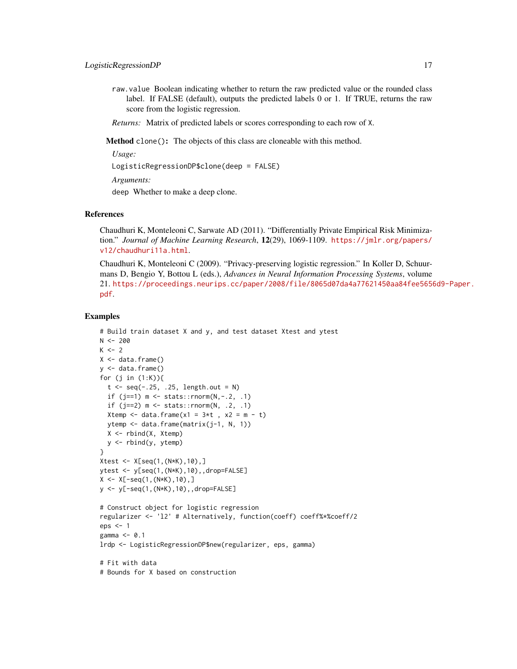raw.value Boolean indicating whether to return the raw predicted value or the rounded class label. If FALSE (default), outputs the predicted labels 0 or 1. If TRUE, returns the raw score from the logistic regression.

*Returns:* Matrix of predicted labels or scores corresponding to each row of X.

Method clone(): The objects of this class are cloneable with this method.

*Usage:*

LogisticRegressionDP\$clone(deep = FALSE)

*Arguments:*

deep Whether to make a deep clone.

# References

Chaudhuri K, Monteleoni C, Sarwate AD (2011). "Differentially Private Empirical Risk Minimization." *Journal of Machine Learning Research*, 12(29), 1069-1109. [https://jmlr.org/papers/](https://jmlr.org/papers/v12/chaudhuri11a.html) [v12/chaudhuri11a.html](https://jmlr.org/papers/v12/chaudhuri11a.html).

Chaudhuri K, Monteleoni C (2009). "Privacy-preserving logistic regression." In Koller D, Schuurmans D, Bengio Y, Bottou L (eds.), *Advances in Neural Information Processing Systems*, volume 21. [https://proceedings.neurips.cc/paper/2008/file/8065d07da4a77621450aa84fee5656](https://proceedings.neurips.cc/paper/2008/file/8065d07da4a77621450aa84fee5656d9-Paper.pdf)d9-Paper. [pdf](https://proceedings.neurips.cc/paper/2008/file/8065d07da4a77621450aa84fee5656d9-Paper.pdf).

```
# Build train dataset X and y, and test dataset Xtest and ytest
N < -200K < -2X \leftarrow data . frame()y <- data.frame()
for (j in (1:K)){
  t <- seq(-.25, .25, length.out = N)
  if (j==1) m \leq - stats::rnorm(N, -.2, .1)if (j == 2) m <- stats::rnorm(N, .2, .1)Xtemp <- data.frame(x1 = 3*t, x2 = m - t)
  ytemp <- data.frame(matrix(j-1, N, 1))
  X <- rbind(X, Xtemp)
  y <- rbind(y, ytemp)
}
Xtest \leq X[seq(1, (N*K), 10), ]ytest <- y[seq(1,(N*K),10),,drop=FALSE]
X \leftarrow X[-seq(1, (N*K), 10), ]y <- y[-seq(1,(N*K),10),,drop=FALSE]
# Construct object for logistic regression
regularizer <- 'l2' # Alternatively, function(coeff) coeff%*%coeff/2
eps <- 1
gamma <- 0.1
lrdp <- LogisticRegressionDP$new(regularizer, eps, gamma)
# Fit with data
# Bounds for X based on construction
```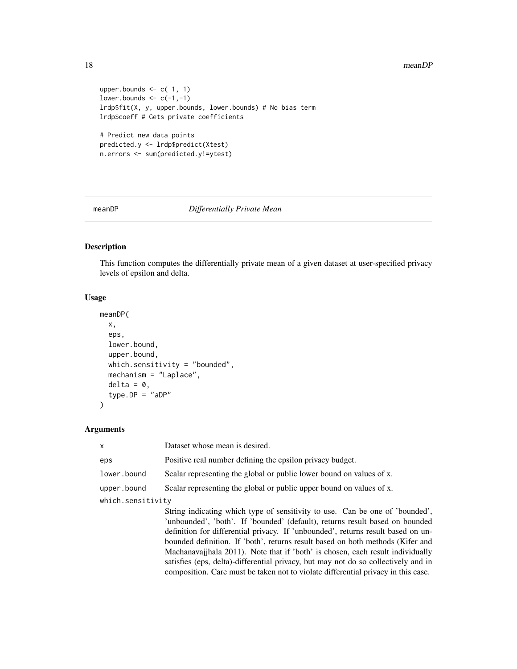#### 18 meanDP

```
upper.bounds \leq c( 1, 1)
lower.bounds \leq c(-1, -1)lrdp$fit(X, y, upper.bounds, lower.bounds) # No bias term
lrdp$coeff # Gets private coefficients
# Predict new data points
predicted.y <- lrdp$predict(Xtest)
n.errors <- sum(predicted.y!=ytest)
```
# meanDP *Differentially Private Mean*

# Description

This function computes the differentially private mean of a given dataset at user-specified privacy levels of epsilon and delta.

# Usage

```
meanDP(
  x,
  eps,
  lower.bound,
  upper.bound,
  which.sensitivity = "bounded",
  mechanism = "Laplace",
  delta = 0,
  type.DP = "aDP"\mathcal{L}
```
# Arguments

| $\mathsf{x}$      | Dataset whose mean is desired.                                                                                                                                                                                                                                                                                                                                                                                                                                                                                                                                                                  |
|-------------------|-------------------------------------------------------------------------------------------------------------------------------------------------------------------------------------------------------------------------------------------------------------------------------------------------------------------------------------------------------------------------------------------------------------------------------------------------------------------------------------------------------------------------------------------------------------------------------------------------|
| eps               | Positive real number defining the epsilon privacy budget.                                                                                                                                                                                                                                                                                                                                                                                                                                                                                                                                       |
| lower.bound       | Scalar representing the global or public lower bound on values of x.                                                                                                                                                                                                                                                                                                                                                                                                                                                                                                                            |
| upper.bound       | Scalar representing the global or public upper bound on values of x.                                                                                                                                                                                                                                                                                                                                                                                                                                                                                                                            |
| which.sensitivity |                                                                                                                                                                                                                                                                                                                                                                                                                                                                                                                                                                                                 |
|                   | String indicating which type of sensitivity to use. Can be one of 'bounded',<br>'unbounded', 'both'. If 'bounded' (default), returns result based on bounded<br>definition for differential privacy. If 'unbounded', returns result based on un-<br>bounded definition. If 'both', returns result based on both methods (Kifer and<br>Machanavajjhala 2011). Note that if 'both' is chosen, each result individually<br>satisfies (eps, delta)-differential privacy, but may not do so collectively and in<br>composition. Care must be taken not to violate differential privacy in this case. |

<span id="page-17-0"></span>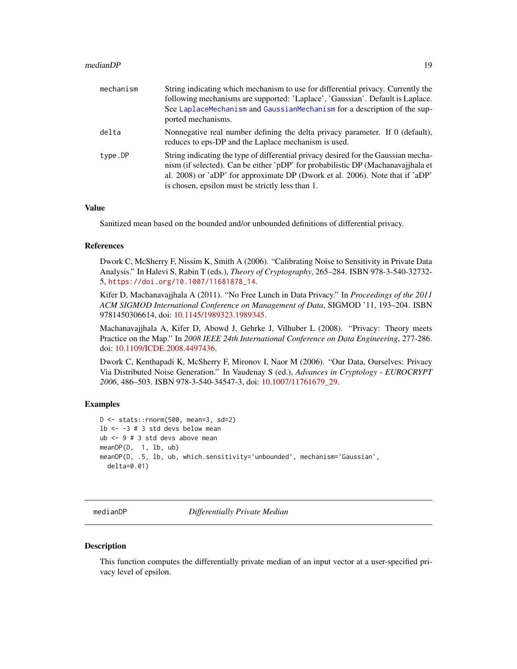## <span id="page-18-0"></span>medianDP 19

| mechanism | String indicating which mechanism to use for differential privacy. Currently the<br>following mechanisms are supported: 'Laplace', 'Gaussian'. Default is Laplace.<br>See LaplaceMechanism and GaussianMechanism for a description of the sup-<br>ported mechanisms.                                        |
|-----------|-------------------------------------------------------------------------------------------------------------------------------------------------------------------------------------------------------------------------------------------------------------------------------------------------------------|
| delta     | Nonnegative real number defining the delta privacy parameter. If 0 (default),<br>reduces to eps-DP and the Laplace mechanism is used.                                                                                                                                                                       |
| type.DP   | String indicating the type of differential privacy desired for the Gaussian mecha-<br>nism (if selected). Can be either 'pDP' for probabilistic DP (Machanavajjhala et<br>al. 2008) or 'aDP' for approximate DP (Dwork et al. 2006). Note that if 'aDP'<br>is chosen, epsilon must be strictly less than 1. |

# Value

Sanitized mean based on the bounded and/or unbounded definitions of differential privacy.

# References

Dwork C, McSherry F, Nissim K, Smith A (2006). "Calibrating Noise to Sensitivity in Private Data Analysis." In Halevi S, Rabin T (eds.), *Theory of Cryptography*, 265–284. ISBN 978-3-540-32732- 5, [https://doi.org/10.1007/11681878\\_14](https://doi.org/10.1007/11681878_14).

Kifer D, Machanavajjhala A (2011). "No Free Lunch in Data Privacy." In *Proceedings of the 2011 ACM SIGMOD International Conference on Management of Data*, SIGMOD '11, 193–204. ISBN 9781450306614, doi: [10.1145/1989323.1989345.](https://doi.org/10.1145/1989323.1989345)

Machanavajjhala A, Kifer D, Abowd J, Gehrke J, Vilhuber L (2008). "Privacy: Theory meets Practice on the Map." In *2008 IEEE 24th International Conference on Data Engineering*, 277-286. doi: [10.1109/ICDE.2008.4497436.](https://doi.org/10.1109/ICDE.2008.4497436)

Dwork C, Kenthapadi K, McSherry F, Mironov I, Naor M (2006). "Our Data, Ourselves: Privacy Via Distributed Noise Generation." In Vaudenay S (ed.), *Advances in Cryptology - EUROCRYPT 2006*, 486–503. ISBN 978-3-540-34547-3, doi: [10.1007/11761679\\_29.](https://doi.org/10.1007/11761679_29)

# Examples

```
D <- stats::rnorm(500, mean=3, sd=2)
1b <- -3 # 3 std devs below mean
ub <- 9 # 3 std devs above mean
meanDP(D, 1, lb, ub)
meanDP(D, .5, lb, ub, which.sensitivity='unbounded', mechanism='Gaussian',
  delta=0.01)
```
medianDP *Differentially Private Median*

# **Description**

This function computes the differentially private median of an input vector at a user-specified privacy level of epsilon.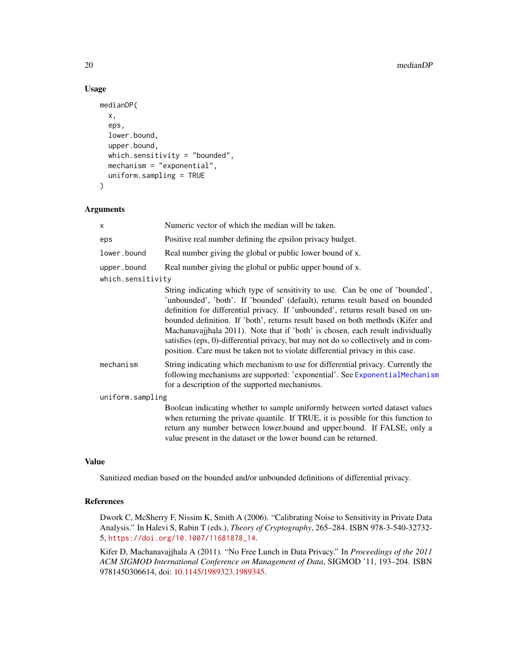# Usage

```
medianDP(
  x,
  eps,
  lower.bound,
  upper.bound,
  which.sensitivity = "bounded",
  mechanism = "exponential",
  uniform.sampling = TRUE
\mathcal{L}
```
# Arguments

| X                 | Numeric vector of which the median will be taken.                                                                                                                                                                                                                                                                                                                                                                                                                                                                                                                                             |
|-------------------|-----------------------------------------------------------------------------------------------------------------------------------------------------------------------------------------------------------------------------------------------------------------------------------------------------------------------------------------------------------------------------------------------------------------------------------------------------------------------------------------------------------------------------------------------------------------------------------------------|
| eps               | Positive real number defining the epsilon privacy budget.                                                                                                                                                                                                                                                                                                                                                                                                                                                                                                                                     |
| lower.bound       | Real number giving the global or public lower bound of x.                                                                                                                                                                                                                                                                                                                                                                                                                                                                                                                                     |
| upper.bound       | Real number giving the global or public upper bound of x.                                                                                                                                                                                                                                                                                                                                                                                                                                                                                                                                     |
| which.sensitivity |                                                                                                                                                                                                                                                                                                                                                                                                                                                                                                                                                                                               |
|                   | String indicating which type of sensitivity to use. Can be one of 'bounded',<br>'unbounded', 'both'. If 'bounded' (default), returns result based on bounded<br>definition for differential privacy. If 'unbounded', returns result based on un-<br>bounded definition. If 'both', returns result based on both methods (Kifer and<br>Machanavajjhala 2011). Note that if 'both' is chosen, each result individually<br>satisfies (eps, 0)-differential privacy, but may not do so collectively and in com-<br>position. Care must be taken not to violate differential privacy in this case. |
| mechanism         | String indicating which mechanism to use for differential privacy. Currently the<br>following mechanisms are supported: 'exponential'. See ExponentialMechanism<br>for a description of the supported mechanisms.                                                                                                                                                                                                                                                                                                                                                                             |
| uniform.sampling  |                                                                                                                                                                                                                                                                                                                                                                                                                                                                                                                                                                                               |
|                   | Boolean indicating whether to sample uniformly between sorted dataset values<br>when returning the private quantile. If TRUE, it is possible for this function to<br>return any number between lower.bound and upper.bound. If FALSE, only a<br>value present in the dataset or the lower bound can be returned.                                                                                                                                                                                                                                                                              |

# Value

Sanitized median based on the bounded and/or unbounded definitions of differential privacy.

# References

Dwork C, McSherry F, Nissim K, Smith A (2006). "Calibrating Noise to Sensitivity in Private Data Analysis." In Halevi S, Rabin T (eds.), *Theory of Cryptography*, 265–284. ISBN 978-3-540-32732- 5, [https://doi.org/10.1007/11681878\\_14](https://doi.org/10.1007/11681878_14).

Kifer D, Machanavajjhala A (2011). "No Free Lunch in Data Privacy." In *Proceedings of the 2011 ACM SIGMOD International Conference on Management of Data*, SIGMOD '11, 193–204. ISBN 9781450306614, doi: [10.1145/1989323.1989345.](https://doi.org/10.1145/1989323.1989345)

<span id="page-19-0"></span>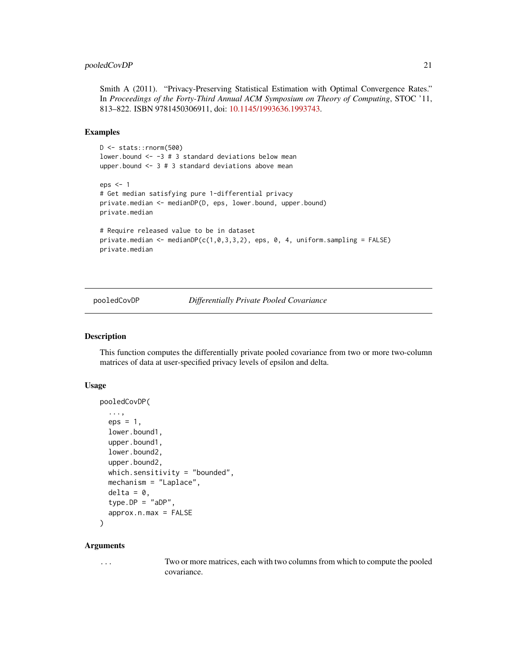# <span id="page-20-0"></span>pooledCovDP 21

Smith A (2011). "Privacy-Preserving Statistical Estimation with Optimal Convergence Rates." In *Proceedings of the Forty-Third Annual ACM Symposium on Theory of Computing*, STOC '11, 813–822. ISBN 9781450306911, doi: [10.1145/1993636.1993743.](https://doi.org/10.1145/1993636.1993743)

# Examples

```
D <- stats::rnorm(500)
lower.bound \le -3 # 3 standard deviations below mean
upper.bound \leq -3 # 3 standard deviations above mean
eps < -1# Get median satisfying pure 1-differential privacy
private.median <- medianDP(D, eps, lower.bound, upper.bound)
private.median
# Require released value to be in dataset
private.median <- medianDP(c(1,0,3,3,2), eps, 0, 4, uniform.sampling = FALSE)
private.median
```
pooledCovDP *Differentially Private Pooled Covariance*

#### Description

This function computes the differentially private pooled covariance from two or more two-column matrices of data at user-specified privacy levels of epsilon and delta.

# Usage

```
pooledCovDP(
  ...,
  eps = 1,
  lower.bound1,
  upper.bound1,
  lower.bound2,
  upper.bound2,
  which.sensitivity = "bounded",
  mechanism = "Laplace",
  delta = 0,type.DP = "aDP",
  approx.n.max = FALSE)
```
#### Arguments

... Two or more matrices, each with two columns from which to compute the pooled covariance.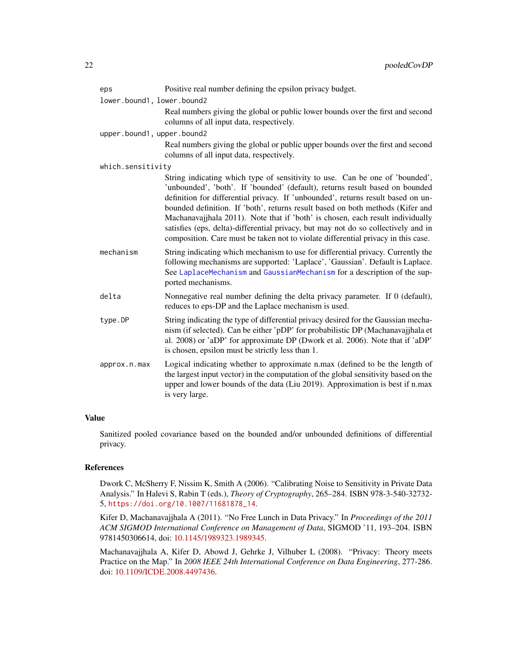<span id="page-21-0"></span>

| eps                        | Positive real number defining the epsilon privacy budget.                                                                                                                                                                                                                                                                                                                                                                                                                                                                                                                                       |
|----------------------------|-------------------------------------------------------------------------------------------------------------------------------------------------------------------------------------------------------------------------------------------------------------------------------------------------------------------------------------------------------------------------------------------------------------------------------------------------------------------------------------------------------------------------------------------------------------------------------------------------|
| lower.bound1, lower.bound2 | Real numbers giving the global or public lower bounds over the first and second<br>columns of all input data, respectively.                                                                                                                                                                                                                                                                                                                                                                                                                                                                     |
| upper.bound1, upper.bound2 |                                                                                                                                                                                                                                                                                                                                                                                                                                                                                                                                                                                                 |
|                            | Real numbers giving the global or public upper bounds over the first and second<br>columns of all input data, respectively.                                                                                                                                                                                                                                                                                                                                                                                                                                                                     |
| which.sensitivity          |                                                                                                                                                                                                                                                                                                                                                                                                                                                                                                                                                                                                 |
|                            | String indicating which type of sensitivity to use. Can be one of 'bounded',<br>'unbounded', 'both'. If 'bounded' (default), returns result based on bounded<br>definition for differential privacy. If 'unbounded', returns result based on un-<br>bounded definition. If 'both', returns result based on both methods (Kifer and<br>Machanavajjhala 2011). Note that if 'both' is chosen, each result individually<br>satisfies (eps, delta)-differential privacy, but may not do so collectively and in<br>composition. Care must be taken not to violate differential privacy in this case. |
| mechanism                  | String indicating which mechanism to use for differential privacy. Currently the<br>following mechanisms are supported: 'Laplace', 'Gaussian'. Default is Laplace.<br>See LaplaceMechanism and GaussianMechanism for a description of the sup-<br>ported mechanisms.                                                                                                                                                                                                                                                                                                                            |
| delta                      | Nonnegative real number defining the delta privacy parameter. If 0 (default),<br>reduces to eps-DP and the Laplace mechanism is used.                                                                                                                                                                                                                                                                                                                                                                                                                                                           |
| type.DP                    | String indicating the type of differential privacy desired for the Gaussian mecha-<br>nism (if selected). Can be either 'pDP' for probabilistic DP (Machanavajjhala et<br>al. 2008) or 'aDP' for approximate DP (Dwork et al. 2006). Note that if 'aDP'<br>is chosen, epsilon must be strictly less than 1.                                                                                                                                                                                                                                                                                     |
| approx.n.max               | Logical indicating whether to approximate n.max (defined to be the length of<br>the largest input vector) in the computation of the global sensitivity based on the<br>upper and lower bounds of the data (Liu 2019). Approximation is best if n.max<br>is very large.                                                                                                                                                                                                                                                                                                                          |

# Value

Sanitized pooled covariance based on the bounded and/or unbounded definitions of differential privacy.

# References

Dwork C, McSherry F, Nissim K, Smith A (2006). "Calibrating Noise to Sensitivity in Private Data Analysis." In Halevi S, Rabin T (eds.), *Theory of Cryptography*, 265–284. ISBN 978-3-540-32732- 5, [https://doi.org/10.1007/11681878\\_14](https://doi.org/10.1007/11681878_14).

Kifer D, Machanavajjhala A (2011). "No Free Lunch in Data Privacy." In *Proceedings of the 2011 ACM SIGMOD International Conference on Management of Data*, SIGMOD '11, 193–204. ISBN 9781450306614, doi: [10.1145/1989323.1989345.](https://doi.org/10.1145/1989323.1989345)

Machanavajjhala A, Kifer D, Abowd J, Gehrke J, Vilhuber L (2008). "Privacy: Theory meets Practice on the Map." In *2008 IEEE 24th International Conference on Data Engineering*, 277-286. doi: [10.1109/ICDE.2008.4497436.](https://doi.org/10.1109/ICDE.2008.4497436)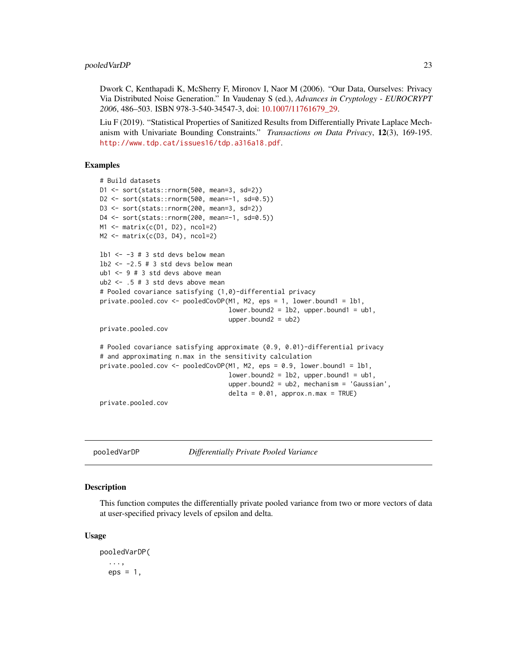<span id="page-22-0"></span>Dwork C, Kenthapadi K, McSherry F, Mironov I, Naor M (2006). "Our Data, Ourselves: Privacy Via Distributed Noise Generation." In Vaudenay S (ed.), *Advances in Cryptology - EUROCRYPT 2006*, 486–503. ISBN 978-3-540-34547-3, doi: [10.1007/11761679\\_29.](https://doi.org/10.1007/11761679_29)

Liu F (2019). "Statistical Properties of Sanitized Results from Differentially Private Laplace Mechanism with Univariate Bounding Constraints." *Transactions on Data Privacy*, 12(3), 169-195. <http://www.tdp.cat/issues16/tdp.a316a18.pdf>.

# Examples

```
# Build datasets
D1 <- sort(stats::rnorm(500, mean=3, sd=2))
D2 <- sort(stats::rnorm(500, mean=-1, sd=0.5))
D3 <- sort(stats::rnorm(200, mean=3, sd=2))
D4 <- sort(stats::rnorm(200, mean=-1, sd=0.5))
M1 <- matrix(c(D1, D2), ncol=2)
M2 \leq -\text{matrix}(c(D3, D4), ncol=2)1b1 \leftarrow -3 # 3 std devs below mean
1b2 < -2.5 # 3 std devs below mean
ub1 <- 9 # 3 std devs above mean
ub2 < - .5 # 3 std devs above mean# Pooled covariance satisfying (1,0)-differential privacy
private.pooled.cov <- pooledCovDP(M1, M2, eps = 1, lower.bound1 = lb1,
                                   lower.bound2 = lb2, upper.bound1 = ub1,upper.bound2 = ub2)
private.pooled.cov
# Pooled covariance satisfying approximate (0.9, 0.01)-differential privacy
# and approximating n.max in the sensitivity calculation
private.pooled.cov <- pooledCovDP(M1, M2, eps = 0.9, lower.bound1 = lb1,
                                   lower.bound2 = lb2, upper.bound1 = ub1,upper.bound2 = ub2, mechanism = 'Gaussian',
                                  delta = 0.01, approx.n.max = TRUE)
private.pooled.cov
```
pooledVarDP *Differentially Private Pooled Variance*

# **Description**

This function computes the differentially private pooled variance from two or more vectors of data at user-specified privacy levels of epsilon and delta.

#### Usage

pooledVarDP( ...,  $eps = 1$ ,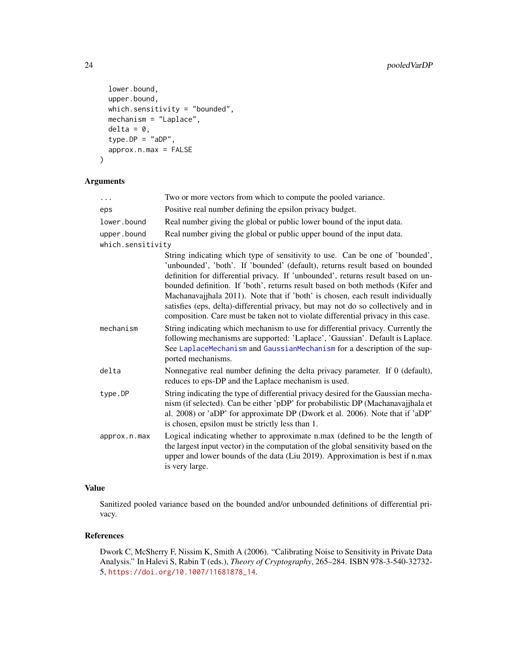```
lower.bound,
 upper.bound,
 which.sensitivity = "bounded",
 mechanism = "Laplace",
 delta = 0,
  type.DP = "aDP",approx.n.max = FALSE
)
```
# Arguments

| .                 | Two or more vectors from which to compute the pooled variance.                                                                                                                                                                                                                                                                                                                                                                                                                                                                                                                                  |
|-------------------|-------------------------------------------------------------------------------------------------------------------------------------------------------------------------------------------------------------------------------------------------------------------------------------------------------------------------------------------------------------------------------------------------------------------------------------------------------------------------------------------------------------------------------------------------------------------------------------------------|
| eps               | Positive real number defining the epsilon privacy budget.                                                                                                                                                                                                                                                                                                                                                                                                                                                                                                                                       |
| lower.bound       | Real number giving the global or public lower bound of the input data.                                                                                                                                                                                                                                                                                                                                                                                                                                                                                                                          |
| upper.bound       | Real number giving the global or public upper bound of the input data.                                                                                                                                                                                                                                                                                                                                                                                                                                                                                                                          |
| which.sensitivity |                                                                                                                                                                                                                                                                                                                                                                                                                                                                                                                                                                                                 |
|                   | String indicating which type of sensitivity to use. Can be one of 'bounded',<br>'unbounded', 'both'. If 'bounded' (default), returns result based on bounded<br>definition for differential privacy. If 'unbounded', returns result based on un-<br>bounded definition. If 'both', returns result based on both methods (Kifer and<br>Machanavajjhala 2011). Note that if 'both' is chosen, each result individually<br>satisfies (eps, delta)-differential privacy, but may not do so collectively and in<br>composition. Care must be taken not to violate differential privacy in this case. |
| mechanism         | String indicating which mechanism to use for differential privacy. Currently the<br>following mechanisms are supported: 'Laplace', 'Gaussian'. Default is Laplace.<br>See LaplaceMechanism and GaussianMechanism for a description of the sup-<br>ported mechanisms.                                                                                                                                                                                                                                                                                                                            |
| delta             | Nonnegative real number defining the delta privacy parameter. If 0 (default),<br>reduces to eps-DP and the Laplace mechanism is used.                                                                                                                                                                                                                                                                                                                                                                                                                                                           |
| type.DP           | String indicating the type of differential privacy desired for the Gaussian mecha-<br>nism (if selected). Can be either 'pDP' for probabilistic DP (Machanavajjhala et<br>al. 2008) or 'aDP' for approximate DP (Dwork et al. 2006). Note that if 'aDP'<br>is chosen, epsilon must be strictly less than 1.                                                                                                                                                                                                                                                                                     |
| approx.n.max      | Logical indicating whether to approximate n.max (defined to be the length of<br>the largest input vector) in the computation of the global sensitivity based on the<br>upper and lower bounds of the data (Liu 2019). Approximation is best if n.max<br>is very large.                                                                                                                                                                                                                                                                                                                          |

# Value

Sanitized pooled variance based on the bounded and/or unbounded definitions of differential privacy.

# References

Dwork C, McSherry F, Nissim K, Smith A (2006). "Calibrating Noise to Sensitivity in Private Data Analysis." In Halevi S, Rabin T (eds.), *Theory of Cryptography*, 265–284. ISBN 978-3-540-32732- 5, [https://doi.org/10.1007/11681878\\_14](https://doi.org/10.1007/11681878_14).

<span id="page-23-0"></span>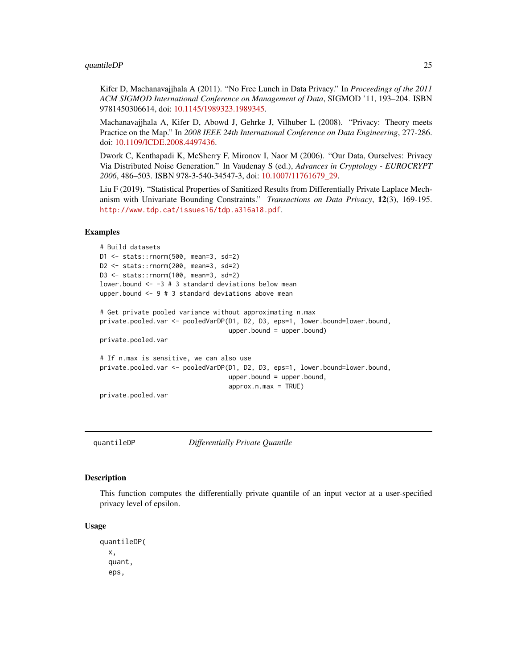# <span id="page-24-0"></span>quantileDP 25

Kifer D, Machanavajjhala A (2011). "No Free Lunch in Data Privacy." In *Proceedings of the 2011 ACM SIGMOD International Conference on Management of Data*, SIGMOD '11, 193–204. ISBN 9781450306614, doi: [10.1145/1989323.1989345.](https://doi.org/10.1145/1989323.1989345)

Machanavajjhala A, Kifer D, Abowd J, Gehrke J, Vilhuber L (2008). "Privacy: Theory meets Practice on the Map." In *2008 IEEE 24th International Conference on Data Engineering*, 277-286. doi: [10.1109/ICDE.2008.4497436.](https://doi.org/10.1109/ICDE.2008.4497436)

Dwork C, Kenthapadi K, McSherry F, Mironov I, Naor M (2006). "Our Data, Ourselves: Privacy Via Distributed Noise Generation." In Vaudenay S (ed.), *Advances in Cryptology - EUROCRYPT 2006*, 486–503. ISBN 978-3-540-34547-3, doi: [10.1007/11761679\\_29.](https://doi.org/10.1007/11761679_29)

Liu F (2019). "Statistical Properties of Sanitized Results from Differentially Private Laplace Mechanism with Univariate Bounding Constraints." *Transactions on Data Privacy*, 12(3), 169-195. <http://www.tdp.cat/issues16/tdp.a316a18.pdf>.

#### Examples

```
# Build datasets
D1 <- stats::rnorm(500, mean=3, sd=2)
D2 <- stats::rnorm(200, mean=3, sd=2)
D3 <- stats::rnorm(100, mean=3, sd=2)
lower.bound <- -3 # 3 standard deviations below mean
upper.bound <- 9 # 3 standard deviations above mean
# Get private pooled variance without approximating n.max
private.pooled.var <- pooledVarDP(D1, D2, D3, eps=1, lower.bound=lower.bound,
                                  upper.bound = upper.bound)
private.pooled.var
# If n.max is sensitive, we can also use
private.pooled.var <- pooledVarDP(D1, D2, D3, eps=1, lower.bound=lower.bound,
                                  upper.bound = upper.bound,
                                  approx.n.max = TRUE)
```
private.pooled.var

quantileDP *Differentially Private Quantile*

# **Description**

This function computes the differentially private quantile of an input vector at a user-specified privacy level of epsilon.

#### Usage

quantileDP( x, quant, eps,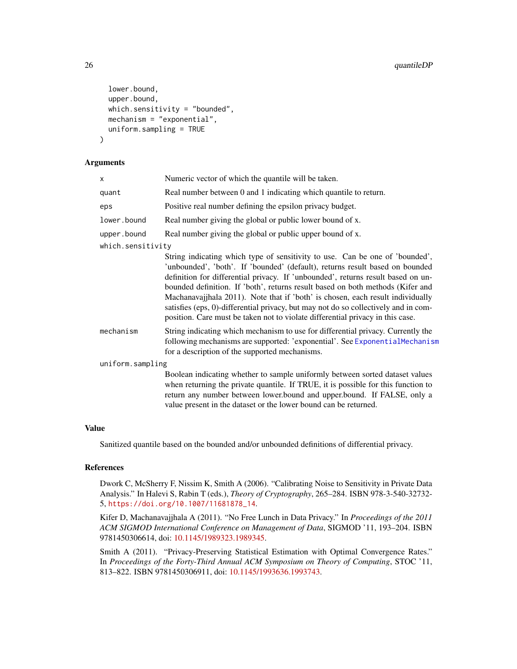```
lower.bound,
  upper.bound,
 which.sensitivity = "bounded",
 mechanism = "exponential",
  uniform.sampling = TRUE
)
```
## Arguments

| x                 | Numeric vector of which the quantile will be taken.              |
|-------------------|------------------------------------------------------------------|
| quant             | Real number between 0 and 1 indicating which quantile to return. |
| eps               | Positive real number defining the epsilon privacy budget.        |
| lower.bound       | Real number giving the global or public lower bound of x.        |
| upper.bound       | Real number giving the global or public upper bound of x.        |
| which.sensitivity |                                                                  |

|                  | String indicating which type of sensitivity to use. Can be one of 'bounded',                                                                                                                                      |  |  |
|------------------|-------------------------------------------------------------------------------------------------------------------------------------------------------------------------------------------------------------------|--|--|
|                  | 'unbounded', 'both'. If 'bounded' (default), returns result based on bounded                                                                                                                                      |  |  |
|                  | definition for differential privacy. If 'unbounded', returns result based on un-                                                                                                                                  |  |  |
|                  | bounded definition. If 'both', returns result based on both methods (Kifer and                                                                                                                                    |  |  |
|                  | Machanavajjhala 2011). Note that if 'both' is chosen, each result individually                                                                                                                                    |  |  |
|                  | satisfies (eps, 0)-differential privacy, but may not do so collectively and in com-<br>position. Care must be taken not to violate differential privacy in this case.                                             |  |  |
| mechanism        | String indicating which mechanism to use for differential privacy. Currently the<br>following mechanisms are supported: 'exponential'. See ExponentialMechanism<br>for a description of the supported mechanisms. |  |  |
| uniform.sampling |                                                                                                                                                                                                                   |  |  |
|                  | Boolean indicating whether to sample uniformly between sorted dataset values                                                                                                                                      |  |  |
|                  | when returning the private quantile. If TRUE, it is possible for this function to                                                                                                                                 |  |  |
|                  | return any number between lower.bound and upper.bound. If FALSE, only a                                                                                                                                           |  |  |
|                  | value present in the dataset or the lower bound can be returned.                                                                                                                                                  |  |  |

# Value

Sanitized quantile based on the bounded and/or unbounded definitions of differential privacy.

# References

Dwork C, McSherry F, Nissim K, Smith A (2006). "Calibrating Noise to Sensitivity in Private Data Analysis." In Halevi S, Rabin T (eds.), *Theory of Cryptography*, 265–284. ISBN 978-3-540-32732- 5, [https://doi.org/10.1007/11681878\\_14](https://doi.org/10.1007/11681878_14).

Kifer D, Machanavajjhala A (2011). "No Free Lunch in Data Privacy." In *Proceedings of the 2011 ACM SIGMOD International Conference on Management of Data*, SIGMOD '11, 193–204. ISBN 9781450306614, doi: [10.1145/1989323.1989345.](https://doi.org/10.1145/1989323.1989345)

Smith A (2011). "Privacy-Preserving Statistical Estimation with Optimal Convergence Rates." In *Proceedings of the Forty-Third Annual ACM Symposium on Theory of Computing*, STOC '11, 813–822. ISBN 9781450306911, doi: [10.1145/1993636.1993743.](https://doi.org/10.1145/1993636.1993743)

<span id="page-25-0"></span>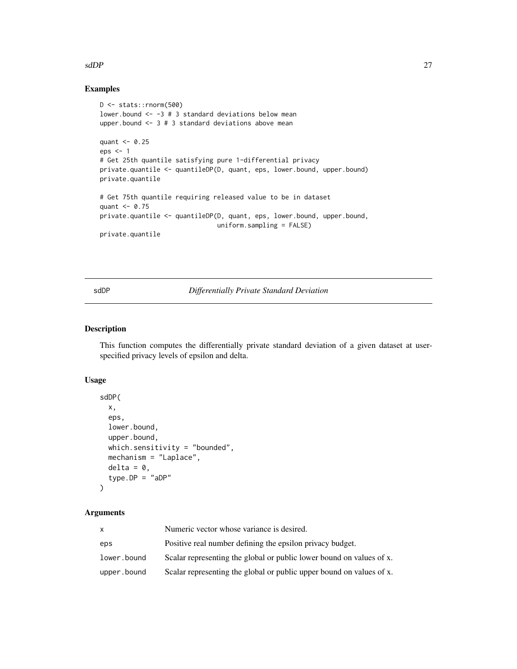# <span id="page-26-0"></span> $s$ dDP  $27$

# Examples

```
D <- stats::rnorm(500)
lower.bound <- -3 # 3 standard deviations below mean
upper.bound \leq -3 # 3 standard deviations above mean
quant <- 0.25
eps <- 1
# Get 25th quantile satisfying pure 1-differential privacy
private.quantile <- quantileDP(D, quant, eps, lower.bound, upper.bound)
private.quantile
# Get 75th quantile requiring released value to be in dataset
quant <- 0.75
private.quantile <- quantileDP(D, quant, eps, lower.bound, upper.bound,
                               uniform.sampling = FALSE)
private.quantile
```
sdDP *Differentially Private Standard Deviation*

# Description

This function computes the differentially private standard deviation of a given dataset at userspecified privacy levels of epsilon and delta.

# Usage

```
sdDP(
  x,
  eps,
  lower.bound,
 upper.bound,
 which.sensitivity = "bounded",
 mechanism = "Laplace",
 delta = 0,
  type.DP = "aDP")
```
# Arguments

| x.          | Numeric vector whose variance is desired.                            |
|-------------|----------------------------------------------------------------------|
| eps         | Positive real number defining the epsilon privacy budget.            |
| lower.bound | Scalar representing the global or public lower bound on values of x. |
| upper.bound | Scalar representing the global or public upper bound on values of x. |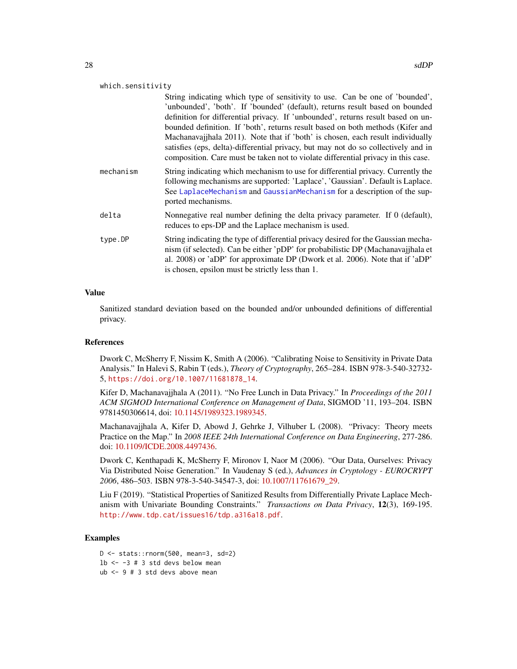<span id="page-27-0"></span>

| which.sensitivity |               |  |
|-------------------|---------------|--|
|                   | String indica |  |

ating which type of sensitivity to use. Can be one of 'bounded', 'unbounded', 'both'. If 'bounded' (default), returns result based on bounded definition for differential privacy. If 'unbounded', returns result based on unbounded definition. If 'both', returns result based on both methods (Kifer and Machanavajjhala 2011). Note that if 'both' is chosen, each result individually satisfies (eps, delta)-differential privacy, but may not do so collectively and in composition. Care must be taken not to violate differential privacy in this case.

- mechanism String indicating which mechanism to use for differential privacy. Currently the following mechanisms are supported: 'Laplace', 'Gaussian'. Default is Laplace. See [LaplaceMechanism](#page-9-1) and [GaussianMechanism](#page-4-1) for a description of the supported mechanisms.
- delta Nonnegative real number defining the delta privacy parameter. If 0 (default), reduces to eps-DP and the Laplace mechanism is used.
- type.DP String indicating the type of differential privacy desired for the Gaussian mechanism (if selected). Can be either 'pDP' for probabilistic DP (Machanavajjhala et al. 2008) or 'aDP' for approximate DP (Dwork et al. 2006). Note that if 'aDP' is chosen, epsilon must be strictly less than 1.

# Value

Sanitized standard deviation based on the bounded and/or unbounded definitions of differential privacy.

# References

Dwork C, McSherry F, Nissim K, Smith A (2006). "Calibrating Noise to Sensitivity in Private Data Analysis." In Halevi S, Rabin T (eds.), *Theory of Cryptography*, 265–284. ISBN 978-3-540-32732- 5, [https://doi.org/10.1007/11681878\\_14](https://doi.org/10.1007/11681878_14).

Kifer D, Machanavajjhala A (2011). "No Free Lunch in Data Privacy." In *Proceedings of the 2011 ACM SIGMOD International Conference on Management of Data*, SIGMOD '11, 193–204. ISBN 9781450306614, doi: [10.1145/1989323.1989345.](https://doi.org/10.1145/1989323.1989345)

Machanavajjhala A, Kifer D, Abowd J, Gehrke J, Vilhuber L (2008). "Privacy: Theory meets Practice on the Map." In *2008 IEEE 24th International Conference on Data Engineering*, 277-286. doi: [10.1109/ICDE.2008.4497436.](https://doi.org/10.1109/ICDE.2008.4497436)

Dwork C, Kenthapadi K, McSherry F, Mironov I, Naor M (2006). "Our Data, Ourselves: Privacy Via Distributed Noise Generation." In Vaudenay S (ed.), *Advances in Cryptology - EUROCRYPT 2006*, 486–503. ISBN 978-3-540-34547-3, doi: [10.1007/11761679\\_29.](https://doi.org/10.1007/11761679_29)

Liu F (2019). "Statistical Properties of Sanitized Results from Differentially Private Laplace Mechanism with Univariate Bounding Constraints." *Transactions on Data Privacy*, 12(3), 169-195. <http://www.tdp.cat/issues16/tdp.a316a18.pdf>.

# Examples

D <- stats::rnorm(500, mean=3, sd=2)  $1b$  <- -3 # 3 std devs below mean ub <- 9 # 3 std devs above mean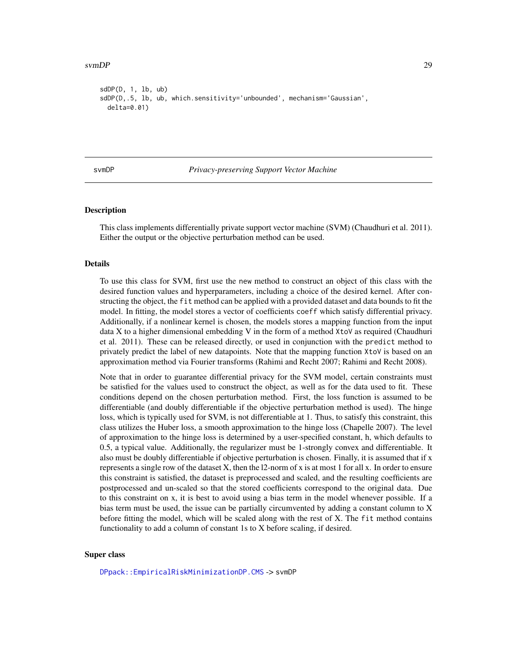#### <span id="page-28-0"></span>svmDP 29

```
sdDP(D, 1, lb, ub)
sdDP(D,.5, lb, ub, which.sensitivity='unbounded', mechanism='Gaussian',
 delta=0.01)
```
#### svmDP *Privacy-preserving Support Vector Machine*

# **Description**

This class implements differentially private support vector machine (SVM) (Chaudhuri et al. 2011). Either the output or the objective perturbation method can be used.

# Details

To use this class for SVM, first use the new method to construct an object of this class with the desired function values and hyperparameters, including a choice of the desired kernel. After constructing the object, the fit method can be applied with a provided dataset and data bounds to fit the model. In fitting, the model stores a vector of coefficients coeff which satisfy differential privacy. Additionally, if a nonlinear kernel is chosen, the models stores a mapping function from the input data X to a higher dimensional embedding V in the form of a method XtoV as required (Chaudhuri et al. 2011). These can be released directly, or used in conjunction with the predict method to privately predict the label of new datapoints. Note that the mapping function XtoV is based on an approximation method via Fourier transforms (Rahimi and Recht 2007; Rahimi and Recht 2008).

Note that in order to guarantee differential privacy for the SVM model, certain constraints must be satisfied for the values used to construct the object, as well as for the data used to fit. These conditions depend on the chosen perturbation method. First, the loss function is assumed to be differentiable (and doubly differentiable if the objective perturbation method is used). The hinge loss, which is typically used for SVM, is not differentiable at 1. Thus, to satisfy this constraint, this class utilizes the Huber loss, a smooth approximation to the hinge loss (Chapelle 2007). The level of approximation to the hinge loss is determined by a user-specified constant, h, which defaults to 0.5, a typical value. Additionally, the regularizer must be 1-strongly convex and differentiable. It also must be doubly differentiable if objective perturbation is chosen. Finally, it is assumed that if x represents a single row of the dataset X, then the l2-norm of x is at most 1 for all x. In order to ensure this constraint is satisfied, the dataset is preprocessed and scaled, and the resulting coefficients are postprocessed and un-scaled so that the stored coefficients correspond to the original data. Due to this constraint on x, it is best to avoid using a bias term in the model whenever possible. If a bias term must be used, the issue can be partially circumvented by adding a constant column to X before fitting the model, which will be scaled along with the rest of X. The fit method contains functionality to add a column of constant 1s to X before scaling, if desired.

#### Super class

[DPpack::EmpiricalRiskMinimizationDP.CMS](#page-0-0) -> svmDP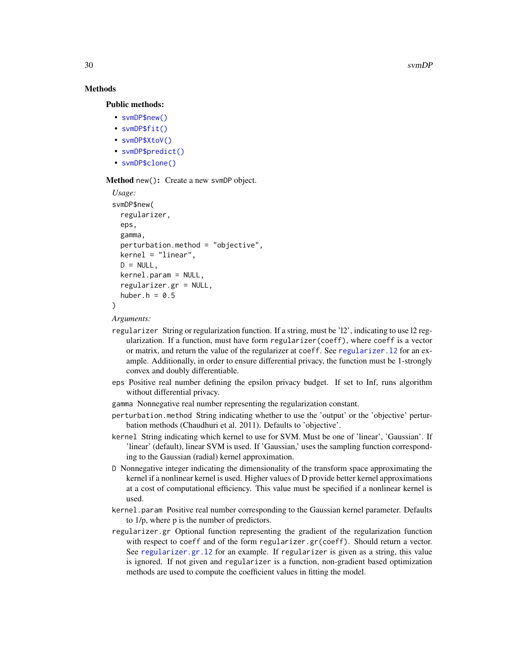30 svmDP

# Methods

## Public methods:

- [svmDP\\$new\(\)](#page-11-1)
- [svmDP\\$fit\(\)](#page-12-0)
- [svmDP\\$XtoV\(\)](#page-30-0)
- [svmDP\\$predict\(\)](#page-15-0)
- [svmDP\\$clone\(\)](#page-12-1)

# Method new(): Create a new svmDP object.

```
Usage:
svmDP$new(
  regularizer,
  eps,
  gamma,
  perturbation.method = "objective",
 kernel = "linear",
 D = NULL,kernel.param = NULL,
  regularizer.gr = NULL,
  huber.h = 0.5\mathcal{L}
```
*Arguments:*

- regularizer String or regularization function. If a string, must be 'l2', indicating to use l2 regularization. If a function, must have form regularizer(coeff), where coeff is a vector or matrix, and return the value of the regularizer at coeff. See [regularizer.l2](#page-0-0) for an example. Additionally, in order to ensure differential privacy, the function must be 1-strongly convex and doubly differentiable.
- eps Positive real number defining the epsilon privacy budget. If set to Inf, runs algorithm without differential privacy.
- gamma Nonnegative real number representing the regularization constant.
- perturbation.method String indicating whether to use the 'output' or the 'objective' perturbation methods (Chaudhuri et al. 2011). Defaults to 'objective'.
- kernel String indicating which kernel to use for SVM. Must be one of 'linear', 'Gaussian'. If 'linear' (default), linear SVM is used. If 'Gaussian,' uses the sampling function corresponding to the Gaussian (radial) kernel approximation.
- D Nonnegative integer indicating the dimensionality of the transform space approximating the kernel if a nonlinear kernel is used. Higher values of D provide better kernel approximations at a cost of computational efficiency. This value must be specified if a nonlinear kernel is used.
- kernel.param Positive real number corresponding to the Gaussian kernel parameter. Defaults to 1/p, where p is the number of predictors.
- regularizer.gr Optional function representing the gradient of the regularization function with respect to coeff and of the form regularizer.gr(coeff). Should return a vector. See [regularizer.gr.l2](#page-0-0) for an example. If regularizer is given as a string, this value is ignored. If not given and regularizer is a function, non-gradient based optimization methods are used to compute the coefficient values in fitting the model.

<span id="page-29-0"></span>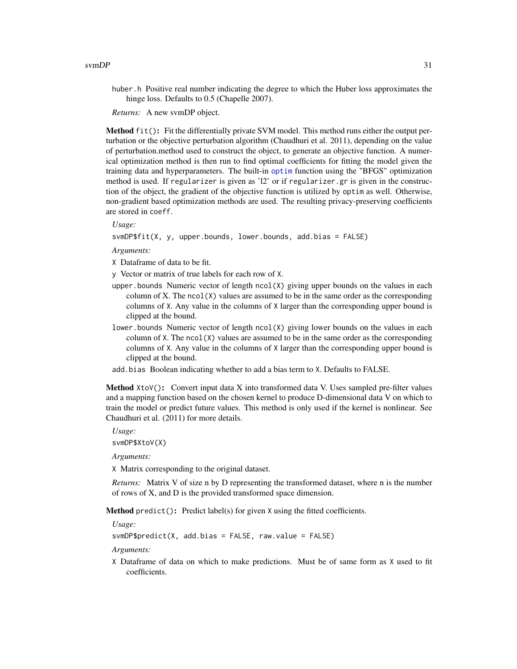<span id="page-30-1"></span>huber.h Positive real number indicating the degree to which the Huber loss approximates the hinge loss. Defaults to 0.5 (Chapelle 2007).

*Returns:* A new svmDP object.

Method fit(): Fit the differentially private SVM model. This method runs either the output perturbation or the objective perturbation algorithm (Chaudhuri et al. 2011), depending on the value of perturbation.method used to construct the object, to generate an objective function. A numerical optimization method is then run to find optimal coefficients for fitting the model given the training data and hyperparameters. The built-in [optim](#page-0-0) function using the "BFGS" optimization method is used. If regularizer is given as 'l2' or if regularizer.gr is given in the construction of the object, the gradient of the objective function is utilized by optim as well. Otherwise, non-gradient based optimization methods are used. The resulting privacy-preserving coefficients are stored in coeff.

*Usage:*

svmDP\$fit(X, y, upper.bounds, lower.bounds, add.bias = FALSE)

*Arguments:*

X Dataframe of data to be fit.

y Vector or matrix of true labels for each row of X.

- upper. bounds Numeric vector of length  $ncol(X)$  giving upper bounds on the values in each column of X. The  $ncol(X)$  values are assumed to be in the same order as the corresponding columns of X. Any value in the columns of X larger than the corresponding upper bound is clipped at the bound.
- lower. bounds Numeric vector of length ncol(X) giving lower bounds on the values in each column of  $X$ . The ncol( $X$ ) values are assumed to be in the same order as the corresponding columns of X. Any value in the columns of X larger than the corresponding upper bound is clipped at the bound.
- add.bias Boolean indicating whether to add a bias term to X. Defaults to FALSE.

<span id="page-30-0"></span>Method XtoV(): Convert input data X into transformed data V. Uses sampled pre-filter values and a mapping function based on the chosen kernel to produce D-dimensional data V on which to train the model or predict future values. This method is only used if the kernel is nonlinear. See Chaudhuri et al. (2011) for more details.

*Usage:* svmDP\$XtoV(X)

*Arguments:*

X Matrix corresponding to the original dataset.

*Returns:* Matrix V of size n by D representing the transformed dataset, where n is the number of rows of X, and D is the provided transformed space dimension.

Method predict(): Predict label(s) for given X using the fitted coefficients.

*Usage:*

 $svmDP$predict(X, add.bias = FALSE, raw.value = FALSE)$ 

*Arguments:*

X Dataframe of data on which to make predictions. Must be of same form as X used to fit coefficients.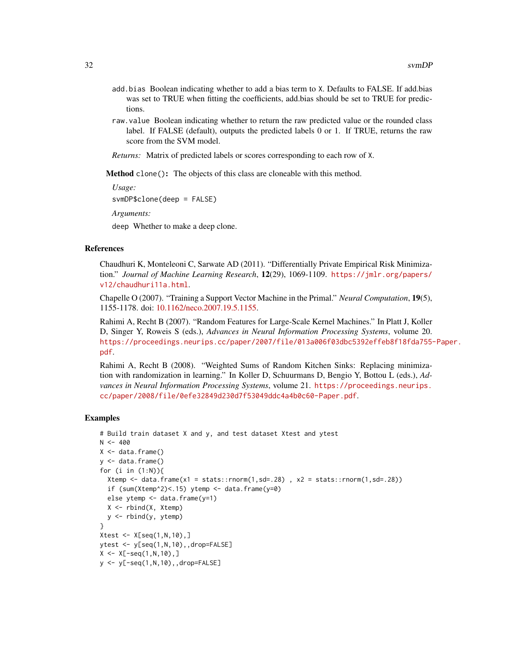- add.bias Boolean indicating whether to add a bias term to X. Defaults to FALSE. If add.bias was set to TRUE when fitting the coefficients, add.bias should be set to TRUE for predictions.
- raw.value Boolean indicating whether to return the raw predicted value or the rounded class label. If FALSE (default), outputs the predicted labels 0 or 1. If TRUE, returns the raw score from the SVM model.
- *Returns:* Matrix of predicted labels or scores corresponding to each row of X.

Method clone(): The objects of this class are cloneable with this method.

*Usage:*

svmDP\$clone(deep = FALSE)

*Arguments:*

deep Whether to make a deep clone.

#### References

Chaudhuri K, Monteleoni C, Sarwate AD (2011). "Differentially Private Empirical Risk Minimization." *Journal of Machine Learning Research*, 12(29), 1069-1109. [https://jmlr.org/papers/](https://jmlr.org/papers/v12/chaudhuri11a.html) [v12/chaudhuri11a.html](https://jmlr.org/papers/v12/chaudhuri11a.html).

Chapelle O (2007). "Training a Support Vector Machine in the Primal." *Neural Computation*, 19(5), 1155-1178. doi: [10.1162/neco.2007.19.5.1155.](https://doi.org/10.1162/neco.2007.19.5.1155)

Rahimi A, Recht B (2007). "Random Features for Large-Scale Kernel Machines." In Platt J, Koller D, Singer Y, Roweis S (eds.), *Advances in Neural Information Processing Systems*, volume 20. [https://proceedings.neurips.cc/paper/2007/file/013a006f03dbc5392effeb8f18fda755-](https://proceedings.neurips.cc/paper/2007/file/013a006f03dbc5392effeb8f18fda755-Paper.pdf)Paper. [pdf](https://proceedings.neurips.cc/paper/2007/file/013a006f03dbc5392effeb8f18fda755-Paper.pdf).

Rahimi A, Recht B (2008). "Weighted Sums of Random Kitchen Sinks: Replacing minimization with randomization in learning." In Koller D, Schuurmans D, Bengio Y, Bottou L (eds.), *Advances in Neural Information Processing Systems*, volume 21. [https://proceedings.neurips.](https://proceedings.neurips.cc/paper/2008/file/0efe32849d230d7f53049ddc4a4b0c60-Paper.pdf) [cc/paper/2008/file/0efe32849d230d7f53049ddc4a4b0c60-Paper.pdf](https://proceedings.neurips.cc/paper/2008/file/0efe32849d230d7f53049ddc4a4b0c60-Paper.pdf).

```
# Build train dataset X and y, and test dataset Xtest and ytest
N < -400X \leftarrow data . frame()y \le - data.frame()
for (i in (1:N)){
  Xtemp \le data.frame(x1 = stats::rnorm(1,sd=.28), x2 = stats::rnorm(1,sd=.28))
  if (sum(Xtemp^2) < .15) ytemp \le data.frame(y=0)
  else ytemp <- data.frame(y=1)
  X <- rbind(X, Xtemp)
  y \le - rbind(y, ytemp)
}
Xtest \leftarrow X[seq(1, N, 10), ]ytest <- y[seq(1,N,10),,drop=FALSE]
X \leq X[-seq(1, N, 10), ]y <- y[-seq(1,N,10),,drop=FALSE]
```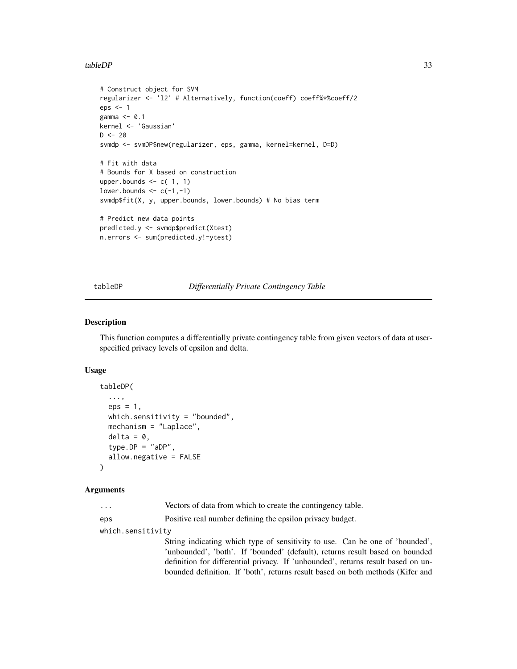## <span id="page-32-0"></span>tableDP 33

```
# Construct object for SVM
regularizer <- 'l2' # Alternatively, function(coeff) coeff%*%coeff/2
eps <- 1
gamma \leq -0.1kernel <- 'Gaussian'
D < -20svmdp <- svmDP$new(regularizer, eps, gamma, kernel=kernel, D=D)
# Fit with data
# Bounds for X based on construction
upper.bounds \leq c(1, 1)lower.bounds \leq c(-1, -1)svmdp$fit(X, y, upper.bounds, lower.bounds) # No bias term
# Predict new data points
predicted.y <- svmdp$predict(Xtest)
n.errors <- sum(predicted.y!=ytest)
```
# tableDP *Differentially Private Contingency Table*

# Description

This function computes a differentially private contingency table from given vectors of data at userspecified privacy levels of epsilon and delta.

### Usage

```
tableDP(
  ...,
 eps = 1,
 which.sensitivity = "bounded",
 mechanism = "Laplace",
  delta = 0,
  type.DP = "aDP",allow.negative = FALSE
)
```
# Arguments

| $\cdots$ |  |  | Vectors of data from which to create the contingency table. |  |
|----------|--|--|-------------------------------------------------------------|--|
|          |  |  |                                                             |  |

eps Positive real number defining the epsilon privacy budget.

which.sensitivity

String indicating which type of sensitivity to use. Can be one of 'bounded', 'unbounded', 'both'. If 'bounded' (default), returns result based on bounded definition for differential privacy. If 'unbounded', returns result based on unbounded definition. If 'both', returns result based on both methods (Kifer and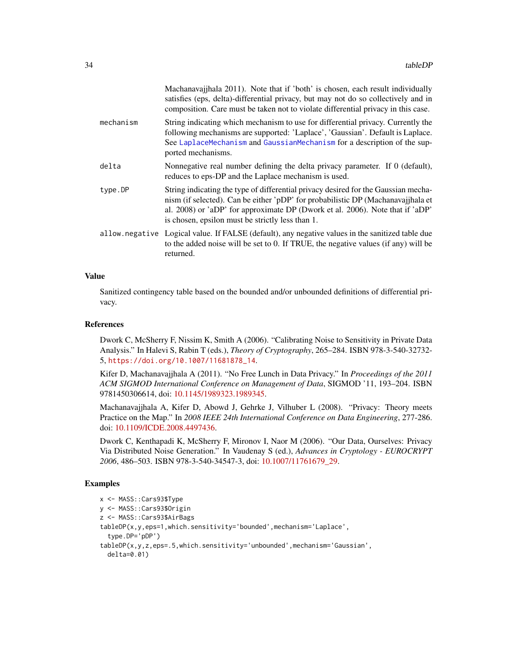<span id="page-33-0"></span>

|           | Machanavajjhala 2011). Note that if 'both' is chosen, each result individually<br>satisfies (eps, delta)-differential privacy, but may not do so collectively and in<br>composition. Care must be taken not to violate differential privacy in this case.                                                   |
|-----------|-------------------------------------------------------------------------------------------------------------------------------------------------------------------------------------------------------------------------------------------------------------------------------------------------------------|
| mechanism | String indicating which mechanism to use for differential privacy. Currently the<br>following mechanisms are supported: 'Laplace', 'Gaussian'. Default is Laplace.<br>See LaplaceMechanism and GaussianMechanism for a description of the sup-<br>ported mechanisms.                                        |
| delta     | Nonnegative real number defining the delta privacy parameter. If 0 (default),<br>reduces to eps-DP and the Laplace mechanism is used.                                                                                                                                                                       |
| type.DP   | String indicating the type of differential privacy desired for the Gaussian mecha-<br>nism (if selected). Can be either 'pDP' for probabilistic DP (Machanavajjhala et<br>al. 2008) or 'aDP' for approximate DP (Dwork et al. 2006). Note that if 'aDP'<br>is chosen, epsilon must be strictly less than 1. |
|           | allow.negative Logical value. If FALSE (default), any negative values in the sanitized table due<br>to the added noise will be set to 0. If TRUE, the negative values (if any) will be<br>returned.                                                                                                         |

#### Value

Sanitized contingency table based on the bounded and/or unbounded definitions of differential privacy.

#### References

Dwork C, McSherry F, Nissim K, Smith A (2006). "Calibrating Noise to Sensitivity in Private Data Analysis." In Halevi S, Rabin T (eds.), *Theory of Cryptography*, 265–284. ISBN 978-3-540-32732- 5, [https://doi.org/10.1007/11681878\\_14](https://doi.org/10.1007/11681878_14).

Kifer D, Machanavajjhala A (2011). "No Free Lunch in Data Privacy." In *Proceedings of the 2011 ACM SIGMOD International Conference on Management of Data*, SIGMOD '11, 193–204. ISBN 9781450306614, doi: [10.1145/1989323.1989345.](https://doi.org/10.1145/1989323.1989345)

Machanavajjhala A, Kifer D, Abowd J, Gehrke J, Vilhuber L (2008). "Privacy: Theory meets Practice on the Map." In *2008 IEEE 24th International Conference on Data Engineering*, 277-286. doi: [10.1109/ICDE.2008.4497436.](https://doi.org/10.1109/ICDE.2008.4497436)

Dwork C, Kenthapadi K, McSherry F, Mironov I, Naor M (2006). "Our Data, Ourselves: Privacy Via Distributed Noise Generation." In Vaudenay S (ed.), *Advances in Cryptology - EUROCRYPT 2006*, 486–503. ISBN 978-3-540-34547-3, doi: [10.1007/11761679\\_29.](https://doi.org/10.1007/11761679_29)

```
x <- MASS::Cars93$Type
y <- MASS::Cars93$Origin
z <- MASS::Cars93$AirBags
tableDP(x,y,eps=1,which.sensitivity='bounded',mechanism='Laplace',
 type.DP='pDP')
tableDP(x,y,z,eps=.5,which.sensitivity='unbounded',mechanism='Gaussian',
 delta=0.01)
```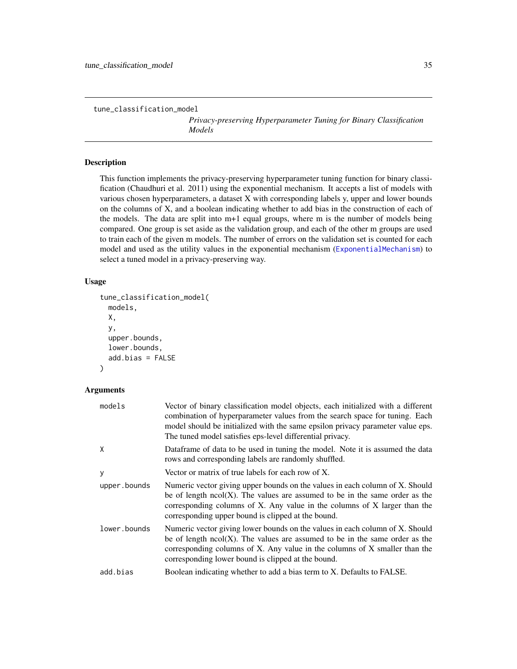<span id="page-34-0"></span>tune\_classification\_model

*Privacy-preserving Hyperparameter Tuning for Binary Classification Models*

# Description

This function implements the privacy-preserving hyperparameter tuning function for binary classification (Chaudhuri et al. 2011) using the exponential mechanism. It accepts a list of models with various chosen hyperparameters, a dataset X with corresponding labels y, upper and lower bounds on the columns of X, and a boolean indicating whether to add bias in the construction of each of the models. The data are split into m+1 equal groups, where m is the number of models being compared. One group is set aside as the validation group, and each of the other m groups are used to train each of the given m models. The number of errors on the validation set is counted for each model and used as the utility values in the exponential mechanism ([ExponentialMechanism](#page-3-1)) to select a tuned model in a privacy-preserving way.

# Usage

```
tune_classification_model(
  models,
  X,
  y,
  upper.bounds,
  lower.bounds,
  add.bias = FALSE
\lambda
```
# Arguments

| models       | Vector of binary classification model objects, each initialized with a different<br>combination of hyperparameter values from the search space for tuning. Each<br>model should be initialized with the same epsilon privacy parameter value eps.<br>The tuned model satisfies eps-level differential privacy. |
|--------------|----------------------------------------------------------------------------------------------------------------------------------------------------------------------------------------------------------------------------------------------------------------------------------------------------------------|
| X            | Dataframe of data to be used in tuning the model. Note it is assumed the data<br>rows and corresponding labels are randomly shuffled.                                                                                                                                                                          |
| У            | Vector or matrix of true labels for each row of X.                                                                                                                                                                                                                                                             |
| upper.bounds | Numeric vector giving upper bounds on the values in each column of X. Should<br>be of length $ncol(X)$ . The values are assumed to be in the same order as the<br>corresponding columns of X. Any value in the columns of X larger than the<br>corresponding upper bound is clipped at the bound.              |
| lower.bounds | Numeric vector giving lower bounds on the values in each column of X. Should<br>be of length $ncol(X)$ . The values are assumed to be in the same order as the<br>corresponding columns of X. Any value in the columns of X smaller than the<br>corresponding lower bound is clipped at the bound.             |
| add.bias     | Boolean indicating whether to add a bias term to X. Defaults to FALSE.                                                                                                                                                                                                                                         |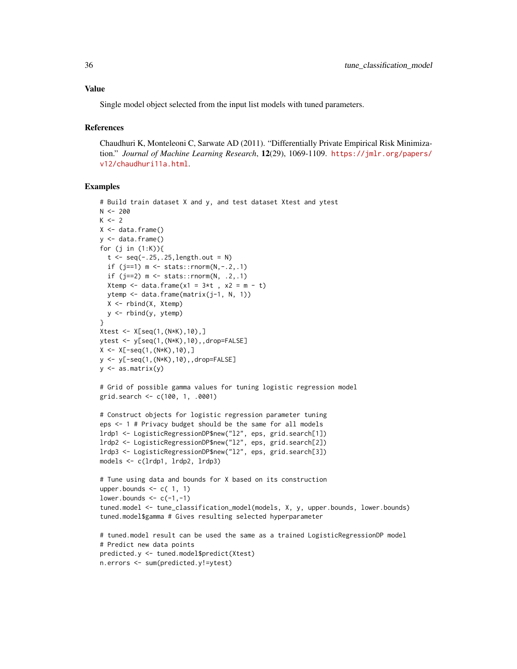Single model object selected from the input list models with tuned parameters.

### References

Chaudhuri K, Monteleoni C, Sarwate AD (2011). "Differentially Private Empirical Risk Minimization." *Journal of Machine Learning Research*, 12(29), 1069-1109. [https://jmlr.org/papers/](https://jmlr.org/papers/v12/chaudhuri11a.html) [v12/chaudhuri11a.html](https://jmlr.org/papers/v12/chaudhuri11a.html).

```
# Build train dataset X and y, and test dataset Xtest and ytest
N < -200K < -2X \leftarrow data . frame()y \le - data.frame()
for (j in (1:K)){
 t <- seq(-.25,.25, length.out = N)
  if (j==1) m \le - stats::rnorm(N, -.2, .1)if (j==2) m \leq - stats::rnorm(N, .2, .1)Xtemp \le data.frame(x1 = 3*t, x2 = m - t)
  ytemp <- data.frame(matrix(j-1, N, 1))
  X \leq - rbind(X, Xtemp)
  y <- rbind(y, ytemp)
}
Xtest <- X[seq(1,(N*K),10),]
ytest <- y[seq(1,(N*K),10),,drop=FALSE]
X \leq X[-seq(1, (N*K), 10), ]y <- y[-seq(1,(N*K),10),,drop=FALSE]
y \leq -as.matrix(y)# Grid of possible gamma values for tuning logistic regression model
grid.search <- c(100, 1, .0001)
# Construct objects for logistic regression parameter tuning
eps <- 1 # Privacy budget should be the same for all models
lrdp1 <- LogisticRegressionDP$new("l2", eps, grid.search[1])
lrdp2 <- LogisticRegressionDP$new("l2", eps, grid.search[2])
lrdp3 <- LogisticRegressionDP$new("l2", eps, grid.search[3])
models <- c(lrdp1, lrdp2, lrdp3)
# Tune using data and bounds for X based on its construction
upper.bounds <- c( 1, 1)
lower.bounds \leq c(-1, -1)tuned.model <- tune_classification_model(models, X, y, upper.bounds, lower.bounds)
tuned.model$gamma # Gives resulting selected hyperparameter
# tuned.model result can be used the same as a trained LogisticRegressionDP model
# Predict new data points
predicted.y <- tuned.model$predict(Xtest)
n.errors <- sum(predicted.y!=ytest)
```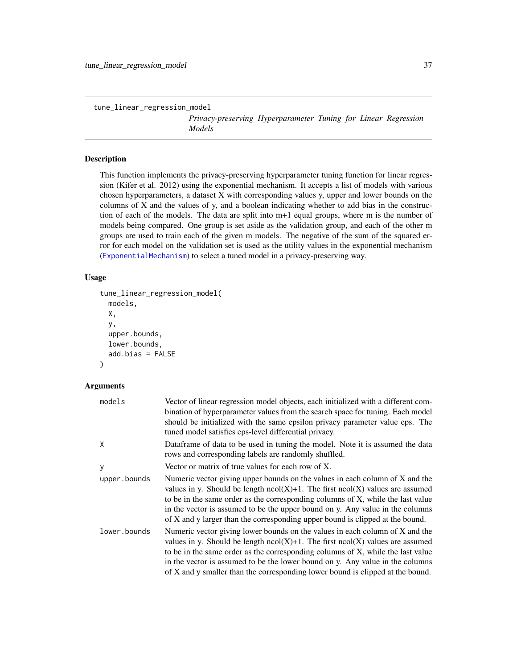<span id="page-36-0"></span>tune\_linear\_regression\_model

*Privacy-preserving Hyperparameter Tuning for Linear Regression Models*

# Description

This function implements the privacy-preserving hyperparameter tuning function for linear regression (Kifer et al. 2012) using the exponential mechanism. It accepts a list of models with various chosen hyperparameters, a dataset X with corresponding values y, upper and lower bounds on the columns of X and the values of y, and a boolean indicating whether to add bias in the construction of each of the models. The data are split into m+1 equal groups, where m is the number of models being compared. One group is set aside as the validation group, and each of the other m groups are used to train each of the given m models. The negative of the sum of the squared error for each model on the validation set is used as the utility values in the exponential mechanism ([ExponentialMechanism](#page-3-1)) to select a tuned model in a privacy-preserving way.

# Usage

```
tune_linear_regression_model(
 models,
 X,
  y,
  upper.bounds,
  lower.bounds,
  add.bias = FALSE
)
```
# Arguments

| models       | Vector of linear regression model objects, each initialized with a different com-<br>bination of hyperparameter values from the search space for tuning. Each model<br>should be initialized with the same epsilon privacy parameter value eps. The<br>tuned model satisfies eps-level differential privacy.                                                                                                             |
|--------------|--------------------------------------------------------------------------------------------------------------------------------------------------------------------------------------------------------------------------------------------------------------------------------------------------------------------------------------------------------------------------------------------------------------------------|
| Χ            | Dataframe of data to be used in tuning the model. Note it is assumed the data<br>rows and corresponding labels are randomly shuffled.                                                                                                                                                                                                                                                                                    |
| у            | Vector or matrix of true values for each row of $X$ .                                                                                                                                                                                                                                                                                                                                                                    |
| upper.bounds | Numeric vector giving upper bounds on the values in each column of X and the<br>values in y. Should be length $ncol(X)+1$ . The first $ncol(X)$ values are assumed<br>to be in the same order as the corresponding columns of X, while the last value<br>in the vector is assumed to be the upper bound on y. Any value in the columns<br>of X and y larger than the corresponding upper bound is clipped at the bound.  |
| lower.bounds | Numeric vector giving lower bounds on the values in each column of X and the<br>values in y. Should be length $ncol(X)+1$ . The first $ncol(X)$ values are assumed<br>to be in the same order as the corresponding columns of X, while the last value<br>in the vector is assumed to be the lower bound on y. Any value in the columns<br>of X and y smaller than the corresponding lower bound is clipped at the bound. |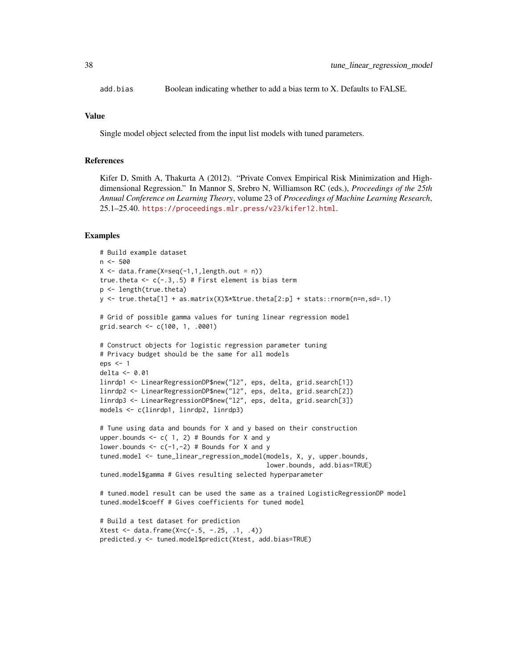add.bias Boolean indicating whether to add a bias term to X. Defaults to FALSE.

# Value

Single model object selected from the input list models with tuned parameters.

# References

Kifer D, Smith A, Thakurta A (2012). "Private Convex Empirical Risk Minimization and Highdimensional Regression." In Mannor S, Srebro N, Williamson RC (eds.), *Proceedings of the 25th Annual Conference on Learning Theory*, volume 23 of *Proceedings of Machine Learning Research*, 25.1–25.40. <https://proceedings.mlr.press/v23/kifer12.html>.

```
# Build example dataset
n <- 500
X \leq - data.frame(X=seq(-1,1,length.out = n))
true.theta \leq c(-.3, .5) # First element is bias term
p <- length(true.theta)
y \le - true.theta[1] + as.matrix(X)%*%true.theta[2:p] + stats::rnorm(n=n,sd=.1)
# Grid of possible gamma values for tuning linear regression model
grid.search <- c(100, 1, .0001)
# Construct objects for logistic regression parameter tuning
# Privacy budget should be the same for all models
eps <- 1
delta <- 0.01
linrdp1 <- LinearRegressionDP$new("l2", eps, delta, grid.search[1])
linrdp2 <- LinearRegressionDP$new("l2", eps, delta, grid.search[2])
linrdp3 <- LinearRegressionDP$new("l2", eps, delta, grid.search[3])
models <- c(linrdp1, linrdp2, linrdp3)
# Tune using data and bounds for X and y based on their construction
upper.bounds <-c(1, 2) # Bounds for X and y
lower.bounds \leq -c(-1, -2) # Bounds for X and y
tuned.model <- tune_linear_regression_model(models, X, y, upper.bounds,
                                             lower.bounds, add.bias=TRUE)
tuned.model$gamma # Gives resulting selected hyperparameter
# tuned.model result can be used the same as a trained LogisticRegressionDP model
tuned.model$coeff # Gives coefficients for tuned model
```

```
# Build a test dataset for prediction
Xtest <- data.frame(X=c(-.5, -.25, .1, .4))
predicted.y <- tuned.model$predict(Xtest, add.bias=TRUE)
```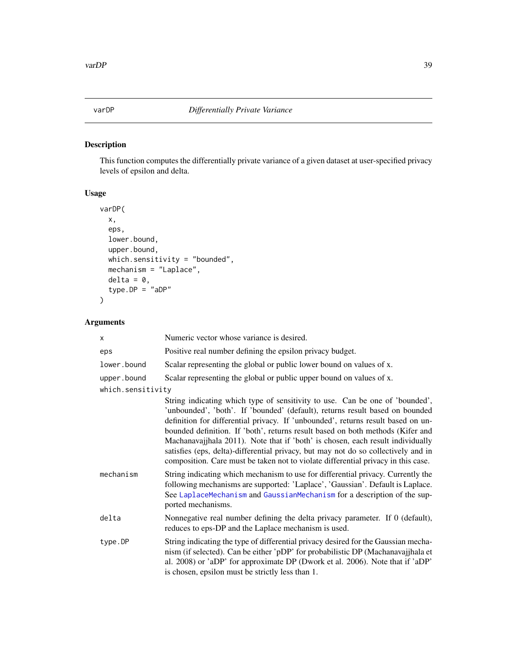<span id="page-38-0"></span>

# Description

This function computes the differentially private variance of a given dataset at user-specified privacy levels of epsilon and delta.

# Usage

```
varDP(
 x,
 eps,
 lower.bound,
 upper.bound,
 which.sensitivity = "bounded",
 mechanism = "Laplace",
 delta = 0,
  type.DP = "aDP")
```
# Arguments

| X                 | Numeric vector whose variance is desired.                                                                                                                                                                                                                                                                                                                                                                                                                                                                                                                                                       |
|-------------------|-------------------------------------------------------------------------------------------------------------------------------------------------------------------------------------------------------------------------------------------------------------------------------------------------------------------------------------------------------------------------------------------------------------------------------------------------------------------------------------------------------------------------------------------------------------------------------------------------|
| eps               | Positive real number defining the epsilon privacy budget.                                                                                                                                                                                                                                                                                                                                                                                                                                                                                                                                       |
| lower.bound       | Scalar representing the global or public lower bound on values of x.                                                                                                                                                                                                                                                                                                                                                                                                                                                                                                                            |
| upper.bound       | Scalar representing the global or public upper bound on values of x.                                                                                                                                                                                                                                                                                                                                                                                                                                                                                                                            |
| which.sensitivity |                                                                                                                                                                                                                                                                                                                                                                                                                                                                                                                                                                                                 |
|                   | String indicating which type of sensitivity to use. Can be one of 'bounded',<br>'unbounded', 'both'. If 'bounded' (default), returns result based on bounded<br>definition for differential privacy. If 'unbounded', returns result based on un-<br>bounded definition. If 'both', returns result based on both methods (Kifer and<br>Machanavajihala 2011). Note that if 'both' is chosen, each result individually<br>satisfies (eps, delta)-differential privacy, but may not do so collectively and in<br>composition. Care must be taken not to violate differential privacy in this case. |
| mechanism         | String indicating which mechanism to use for differential privacy. Currently the<br>following mechanisms are supported: 'Laplace', 'Gaussian'. Default is Laplace.<br>See LaplaceMechanism and GaussianMechanism for a description of the sup-<br>ported mechanisms.                                                                                                                                                                                                                                                                                                                            |
| delta             | Nonnegative real number defining the delta privacy parameter. If 0 (default),<br>reduces to eps-DP and the Laplace mechanism is used.                                                                                                                                                                                                                                                                                                                                                                                                                                                           |
| type.DP           | String indicating the type of differential privacy desired for the Gaussian mecha-<br>nism (if selected). Can be either 'pDP' for probabilistic DP (Machanavajjhala et<br>al. 2008) or 'aDP' for approximate DP (Dwork et al. 2006). Note that if 'aDP'<br>is chosen, epsilon must be strictly less than 1.                                                                                                                                                                                                                                                                                     |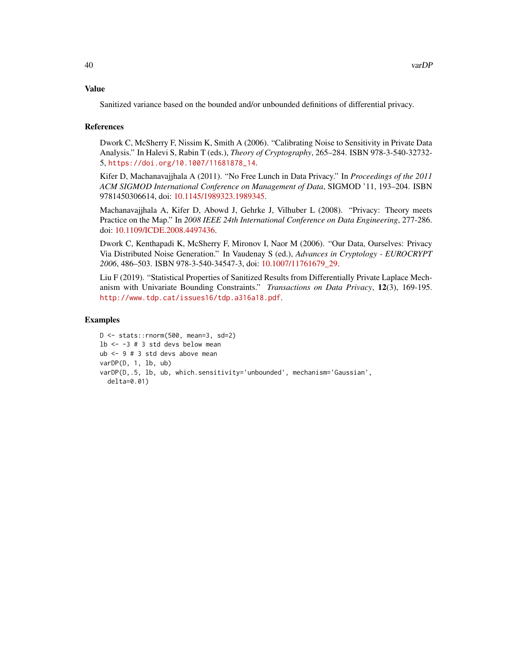### Value

Sanitized variance based on the bounded and/or unbounded definitions of differential privacy.

# References

Dwork C, McSherry F, Nissim K, Smith A (2006). "Calibrating Noise to Sensitivity in Private Data Analysis." In Halevi S, Rabin T (eds.), *Theory of Cryptography*, 265–284. ISBN 978-3-540-32732- 5, [https://doi.org/10.1007/11681878\\_14](https://doi.org/10.1007/11681878_14).

Kifer D, Machanavajjhala A (2011). "No Free Lunch in Data Privacy." In *Proceedings of the 2011 ACM SIGMOD International Conference on Management of Data*, SIGMOD '11, 193–204. ISBN 9781450306614, doi: [10.1145/1989323.1989345.](https://doi.org/10.1145/1989323.1989345)

Machanavajjhala A, Kifer D, Abowd J, Gehrke J, Vilhuber L (2008). "Privacy: Theory meets Practice on the Map." In *2008 IEEE 24th International Conference on Data Engineering*, 277-286. doi: [10.1109/ICDE.2008.4497436.](https://doi.org/10.1109/ICDE.2008.4497436)

Dwork C, Kenthapadi K, McSherry F, Mironov I, Naor M (2006). "Our Data, Ourselves: Privacy Via Distributed Noise Generation." In Vaudenay S (ed.), *Advances in Cryptology - EUROCRYPT 2006*, 486–503. ISBN 978-3-540-34547-3, doi: [10.1007/11761679\\_29.](https://doi.org/10.1007/11761679_29)

Liu F (2019). "Statistical Properties of Sanitized Results from Differentially Private Laplace Mechanism with Univariate Bounding Constraints." *Transactions on Data Privacy*, 12(3), 169-195. <http://www.tdp.cat/issues16/tdp.a316a18.pdf>.

```
D <- stats::rnorm(500, mean=3, sd=2)
1b <- -3 # 3 std devs below mean
ub <- 9 # 3 std devs above mean
varDP(D, 1, lb, ub)
varDP(D,.5, lb, ub, which.sensitivity='unbounded', mechanism='Gaussian',
  delta=0.01)
```